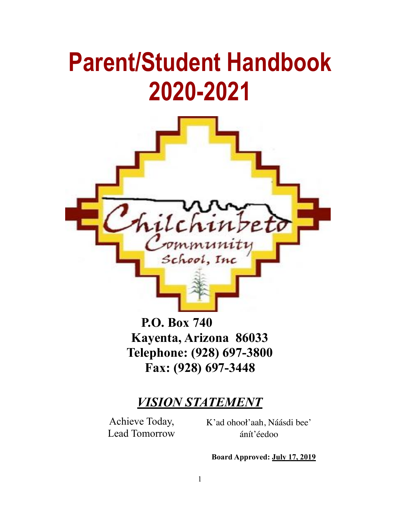# **Parent/Student Handbook 2020-2021**



**P.O. Box 740 Kayenta, Arizona 86033 Telephone: (928) 697-3800 Fax: (928) 697-3448**

## *VISION STATEMENT*

Achieve Today, Lead Tomorrow K'ad ohooł'aah, Náásdi bee' ánít'éedoo

**Board Approved: July 17, 2019**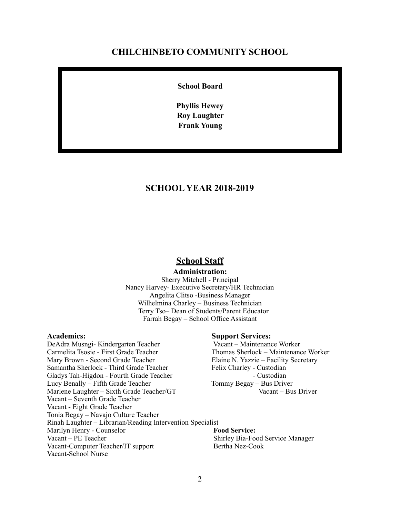#### **CHILCHINBETO COMMUNITY SCHOOL**

**School Board**

**Phyllis Hewey Roy Laughter Frank Young**

#### **SCHOOL YEAR 2018-2019**

#### **School Staff**

#### **Administration:**

Sherry Mitchell - Principal Nancy Harvey- Executive Secretary/HR Technician Angelita Clitso -Business Manager Wilhelmina Charley – Business Technician Terry Tso– Dean of Students/Parent Educator Farrah Begay – School Office Assistant

**Academics:** Support Services:<br>
DeAdra Musngi- Kindergarten Teacher Macant - Maintenance Worker DeAdra Musngi- Kindergarten Teacher Carmelita Tsosie - First Grade Teacher Thomas Sherlock – Maintenance Worker Mary Brown - Second Grade Teacher Elaine N. Yazzie – Facility Secretary Samantha Sherlock - Third Grade Teacher Felix Charley - Custodian Gladys Tah-Higdon - Fourth Grade Teacher - Custodian Lucy Benally – Fifth Grade Teacher Tommy Begay – Bus Driver Marlene Laughter – Sixth Grade Teacher/GT Vacant – Bus Driver Vacant – Seventh Grade Teacher Vacant - Eight Grade Teacher Tonia Begay – Navajo Culture Teacher Rinah Laughter – Librarian/Reading Intervention Specialist Marilyn Henry - Counselor **Food Service:** Vacant – PE Teacher Shirley Bia-Food Service Manager Vacant-Computer Teacher/IT support Bertha Nez-Cook Vacant-School Nurse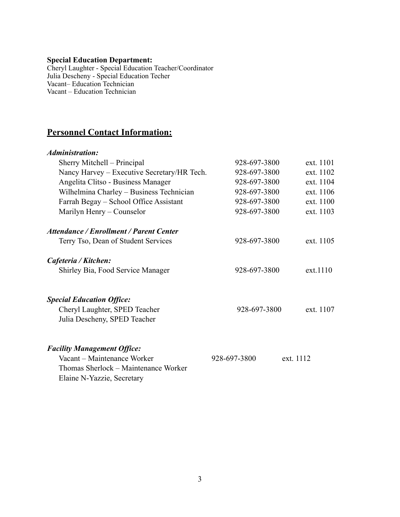#### **Special Education Department:**

Cheryl Laughter - Special Education Teacher/Coordinator Julia Descheny - Special Education Techer Vacant– Education Technician Vacant – Education Technician

#### **Personnel Contact Information:**

#### *Administration:*

| Sherry Mitchell – Principal                                   | 928-697-3800              | ext. 1101 |
|---------------------------------------------------------------|---------------------------|-----------|
| Nancy Harvey - Executive Secretary/HR Tech.                   | 928-697-3800              | ext. 1102 |
| Angelita Clitso - Business Manager                            | 928-697-3800              | ext. 1104 |
| Wilhelmina Charley - Business Technician                      | 928-697-3800              | ext. 1106 |
| Farrah Begay – School Office Assistant                        | 928-697-3800              | ext. 1100 |
| Marilyn Henry – Counselor                                     | 928-697-3800              | ext. 1103 |
| <b>Attendance / Enrollment / Parent Center</b>                |                           |           |
| Terry Tso, Dean of Student Services                           | 928-697-3800              | ext. 1105 |
| Cafeteria / Kitchen:                                          |                           |           |
| Shirley Bia, Food Service Manager                             | 928-697-3800              | ext.1110  |
| <b>Special Education Office:</b>                              |                           |           |
| Cheryl Laughter, SPED Teacher<br>Julia Descheny, SPED Teacher | 928-697-3800              | ext. 1107 |
| <b>Facility Management Office:</b>                            |                           |           |
| Vacant – Maintenance Worker                                   | 928-697-3800<br>ext. 1112 |           |
| Thomas Sherlock - Maintenance Worker                          |                           |           |

Elaine N-Yazzie, Secretary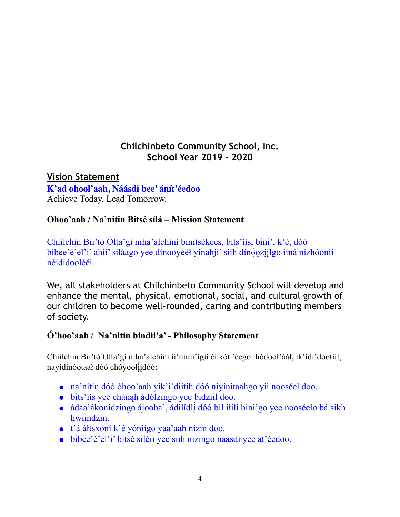## **Chilchinbeto Community School, Inc. School Year 2019 - 2020**

**Vision Statement K'ad ohooł'aah, Náásdi bee' ánít'éedoo** Achieve Today, Lead Tomorrow.

### **Ohoo'aah / Na'nitin Bitsé sílá – Mission Statement**

Chiiłchin Bii'tó Ólta'gi niha'áłchíní binitsékees, bits'íís, bini', k'é, dóó bibee'é'el'i' ahii' siláago yee dínooyééł yinahji' siih dín*óoziilgo iiná nizhóonii* néididoolééł.

We, all stakeholders at Chilchinbeto Community School will develop and enhance the mental, physical, emotional, social, and cultural growth of our children to become well-rounded, caring and contributing members of society.

### **Ó'hoo'aah / Na'nitin bindii'a' - Philosophy Statement**

Chiiłchin Bii'tó Olta'gí niha'áłchíní íí'níiní'ígíí éí kót 'éego íhódooł'ááł, ík'ídi'dootííł, nayídínóotaał dóó chóyoołį́ įdóó:

- ! na'nitin dóó óhoo'aah yik'i'diitih dóó niyínítaahgo yił nooséeł doo.
- ! bits'íís yee chánąh ádólzingo yee bidziil doo.
- ! ádaa'ákonídzingo ájooba', ádiłídlį́ dóó bił iłílí bini'go yee nooséeło bá sikh hwiindzin.
- t'á áłtsxoní k'é yóníigo yaa'aah nízin doo.
- bibee'é'el'i' bitsé siléii yee siih nizingo naasdí yee at'éedoo.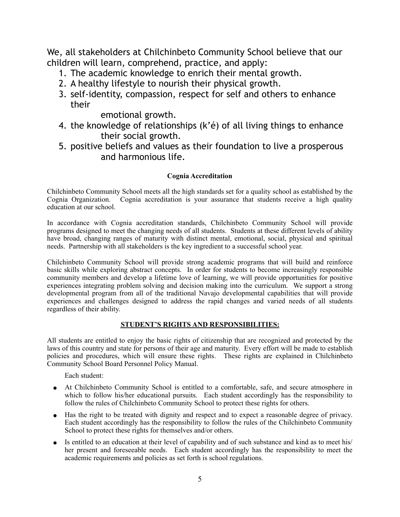We, all stakeholders at Chilchinbeto Community School believe that our children will learn, comprehend, practice, and apply:

- 1. The academic knowledge to enrich their mental growth.
- 2. A healthy lifestyle to nourish their physical growth.
- 3. self-identity, compassion, respect for self and others to enhance their

emotional growth.

- 4. the knowledge of relationships (k'é) of all living things to enhance their social growth.
- 5. positive beliefs and values as their foundation to live a prosperous and harmonious life.

#### **Cognia Accreditation**

Chilchinbeto Community School meets all the high standards set for a quality school as established by the Cognia Organization. Cognia accreditation is your assurance that students receive a high quality education at our school.

In accordance with Cognia accreditation standards, Chilchinbeto Community School will provide programs designed to meet the changing needs of all students. Students at these different levels of ability have broad, changing ranges of maturity with distinct mental, emotional, social, physical and spiritual needs. Partnership with all stakeholders is the key ingredient to a successful school year.

Chilchinbeto Community School will provide strong academic programs that will build and reinforce basic skills while exploring abstract concepts. In order for students to become increasingly responsible community members and develop a lifetime love of learning, we will provide opportunities for positive experiences integrating problem solving and decision making into the curriculum. We support a strong developmental program from all of the traditional Navajo developmental capabilities that will provide experiences and challenges designed to address the rapid changes and varied needs of all students regardless of their ability.

#### **STUDENT'S RIGHTS AND RESPONSIBILITIES:**

All students are entitled to enjoy the basic rights of citizenship that are recognized and protected by the laws of this country and state for persons of their age and maturity. Every effort will be made to establish policies and procedures, which will ensure these rights. These rights are explained in Chilchinbeto Community School Board Personnel Policy Manual.

Each student:

- ! At Chilchinbeto Community School is entitled to a comfortable, safe, and secure atmosphere in which to follow his/her educational pursuits. Each student accordingly has the responsibility to follow the rules of Chilchinbeto Community School to protect these rights for others.
- ! Has the right to be treated with dignity and respect and to expect a reasonable degree of privacy. Each student accordingly has the responsibility to follow the rules of the Chilchinbeto Community School to protect these rights for themselves and/or others.
- Is entitled to an education at their level of capability and of such substance and kind as to meet his/ her present and foreseeable needs. Each student accordingly has the responsibility to meet the academic requirements and policies as set forth is school regulations.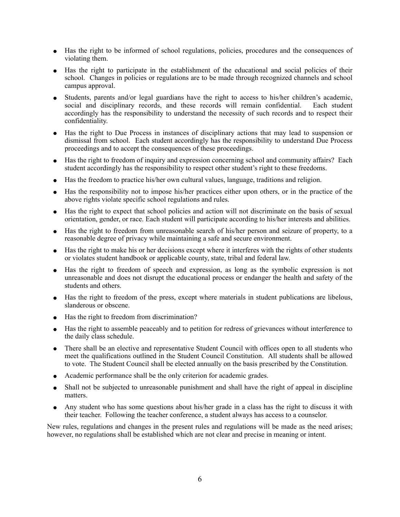- ! Has the right to be informed of school regulations, policies, procedures and the consequences of violating them.
- ! Has the right to participate in the establishment of the educational and social policies of their school. Changes in policies or regulations are to be made through recognized channels and school campus approval.
- Students, parents and/or legal guardians have the right to access to his/her children's academic, social and disciplinary records, and these records will remain confidential. Each student social and disciplinary records, and these records will remain confidential. accordingly has the responsibility to understand the necessity of such records and to respect their confidentiality.
- ! Has the right to Due Process in instances of disciplinary actions that may lead to suspension or dismissal from school. Each student accordingly has the responsibility to understand Due Process proceedings and to accept the consequences of these proceedings.
- ! Has the right to freedom of inquiry and expression concerning school and community affairs? Each student accordingly has the responsibility to respect other student's right to these freedoms.
- ! Has the freedom to practice his/her own cultural values, language, traditions and religion.
- ! Has the responsibility not to impose his/her practices either upon others, or in the practice of the above rights violate specific school regulations and rules.
- ! Has the right to expect that school policies and action will not discriminate on the basis of sexual orientation, gender, or race. Each student will participate according to his/her interests and abilities.
- ! Has the right to freedom from unreasonable search of his/her person and seizure of property, to a reasonable degree of privacy while maintaining a safe and secure environment.
- ! Has the right to make his or her decisions except where it interferes with the rights of other students or violates student handbook or applicable county, state, tribal and federal law.
- ! Has the right to freedom of speech and expression, as long as the symbolic expression is not unreasonable and does not disrupt the educational process or endanger the health and safety of the students and others.
- ! Has the right to freedom of the press, except where materials in student publications are libelous, slanderous or obscene.
- ! Has the right to freedom from discrimination?
- ! Has the right to assemble peaceably and to petition for redress of grievances without interference to the daily class schedule.
- There shall be an elective and representative Student Council with offices open to all students who meet the qualifications outlined in the Student Council Constitution. All students shall be allowed to vote. The Student Council shall be elected annually on the basis prescribed by the Constitution.
- Academic performance shall be the only criterion for academic grades.
- ! Shall not be subjected to unreasonable punishment and shall have the right of appeal in discipline matters.
- ! Any student who has some questions about his/her grade in a class has the right to discuss it with their teacher. Following the teacher conference, a student always has access to a counselor.

New rules, regulations and changes in the present rules and regulations will be made as the need arises; however, no regulations shall be established which are not clear and precise in meaning or intent.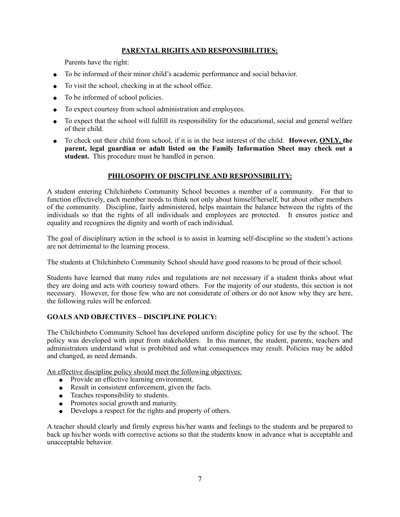#### **PARENTAL RIGHTS AND RESPONSIBILITIES:**

Parents have the right:

- ! To be informed of their minor child's academic performance and social behavior.
- To visit the school, checking in at the school office.
- To be informed of school policies.
- To expect courtesy from school administration and employees.
- To expect that the school will fulfill its responsibility for the educational, social and general welfare of their child.
- To check out their child from school, if it is in the best interest of the child. **However, ONLY, the parent, legal guardian or adult listed on the Family Information Sheet may check out a student.** This procedure must be handled in person.

#### **PHILOSOPHY OF DISCIPLINE AND RESPONSIBILITY:**

A student entering Chilchinbeto Community School becomes a member of a community. For that to function effectively, each member needs to think not only about himself/herself, but about other members of the community. Discipline, fairly administered, helps maintain the balance between the rights of the individuals so that the rights of all individuals and employees are protected. It ensures justice and equality and recognizes the dignity and worth of each individual.

The goal of disciplinary action in the school is to assist in learning self-discipline so the student's actions are not detrimental to the learning process.

The students at Chilchinbeto Community School should have good reasons to be proud of their school.

Students have learned that many rules and regulations are not necessary if a student thinks about what they are doing and acts with courtesy toward others. For the majority of our students, this section is not necessary. However, for those few who are not considerate of others or do not know why they are here, the following rules will be enforced.

#### **GOALS AND OBJECTIVES – DISCIPLINE POLICY:**

The Chilchinbeto Community School has developed uniform discipline policy for use by the school. The policy was developed with input from stakeholders. In this manner, the student, parents, teachers and administrators understand what is prohibited and what consequences may result. Policies may be added and changed, as need demands.

An effective discipline policy should meet the following objectives:

- Provide an effective learning environment.
- Result in consistent enforcement, given the facts.
- Teaches responsibility to students.
- Promotes social growth and maturity.
- Develops a respect for the rights and property of others.

A teacher should clearly and firmly express his/her wants and feelings to the students and be prepared to back up his/her words with corrective actions so that the students know in advance what is acceptable and unacceptable behavior.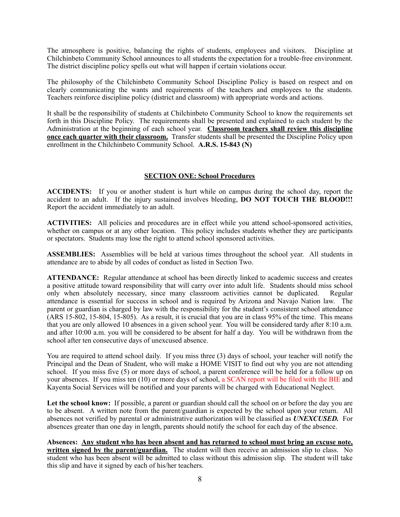The atmosphere is positive, balancing the rights of students, employees and visitors. Discipline at Chilchinbeto Community School announces to all students the expectation for a trouble-free environment. The district discipline policy spells out what will happen if certain violations occur.

The philosophy of the Chilchinbeto Community School Discipline Policy is based on respect and on clearly communicating the wants and requirements of the teachers and employees to the students. Teachers reinforce discipline policy (district and classroom) with appropriate words and actions.

It shall be the responsibility of students at Chilchinbeto Community School to know the requirements set forth in this Discipline Policy. The requirements shall be presented and explained to each student by the Administration at the beginning of each school year. **Classroom teachers shall review this discipline once each quarter with their classroom.** Transfer students shall be presented the Discipline Policy upon enrollment in the Chilchinbeto Community School. **A.R.S. 15-843** (N)

#### **SECTION ONE: School Procedures**

**ACCIDENTS:** If you or another student is hurt while on campus during the school day, report the accident to an adult. If the injury sustained involves bleeding, **DO NOT TOUCH THE BLOOD!!!** Report the accident immediately to an adult.

**ACTIVITIES:** All policies and procedures are in effect while you attend school-sponsored activities, whether on campus or at any other location. This policy includes students whether they are participants or spectators. Students may lose the right to attend school sponsored activities.

**ASSEMBLIES:** Assemblies will be held at various times throughout the school year. All students in attendance are to abide by all codes of conduct as listed in Section Two.

**ATTENDANCE:** Regular attendance at school has been directly linked to academic success and creates a positive attitude toward responsibility that will carry over into adult life. Students should miss school only when absolutely necessary, since many classroom activities cannot be duplicated. Regular attendance is essential for success in school and is required by Arizona and Navajo Nation law. The parent or guardian is charged by law with the responsibility for the student's consistent school attendance (ARS 15-802, 15-804, 15-805). As a result, it is crucial that you are in class 95% of the time. This means that you are only allowed 10 absences in a given school year. You will be considered tardy after 8:10 a.m. and after 10:00 a.m. you will be considered to be absent for half a day. You will be withdrawn from the school after ten consecutive days of unexcused absence.

You are required to attend school daily. If you miss three (3) days of school, your teacher will notify the Principal and the Dean of Student, who will make a HOME VISIT to find out why you are not attending school. If you miss five (5) or more days of school, a parent conference will be held for a follow up on your absences. If you miss ten (10) or more days of school, a SCAN report will be filed with the BIE and Kayenta Social Services will be notified and your parents will be charged with Educational Neglect.

Let the school know: If possible, a parent or guardian should call the school on or before the day you are to be absent. A written note from the parent/guardian is expected by the school upon your return. All absences not verified by parental or administrative authorization will be classified as *UNEXCUSED.* For absences greater than one day in length, parents should notify the school for each day of the absence.

**Absences: Any student who has been absent and has returned to school must bring an excuse note, written signed by the parent/guardian.** The student will then receive an admission slip to class. No student who has been absent will be admitted to class without this admission slip. The student will take this slip and have it signed by each of his/her teachers.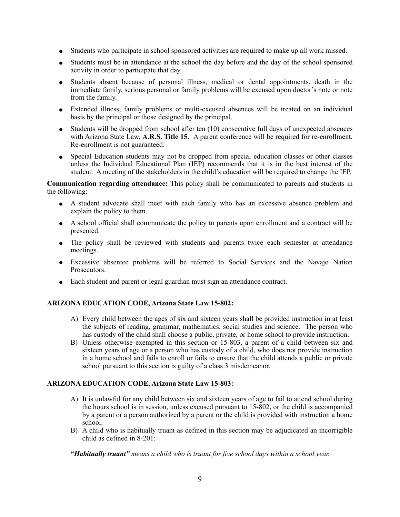- ! Students who participate in school sponsored activities are required to make up all work missed.
- Students must be in attendance at the school the day before and the day of the school sponsored activity in order to participate that day.
- ! Students absent because of personal illness, medical or dental appointments, death in the immediate family, serious personal or family problems will be excused upon doctor's note or note from the family.
- ! Extended illness, family problems or multi-excused absences will be treated on an individual basis by the principal or those designed by the principal.
- $\bullet$  Students will be dropped from school after ten (10) consecutive full days of unexpected absences with Arizona State Law, **A.R.S. Title 15.** A parent conference will be required for re-enrollment. Re-enrollment is not guaranteed.
- ! Special Education students may not be dropped from special education classes or other classes unless the Individual Educational Plan (IEP) recommends that it is in the best interest of the student. A meeting of the stakeholders in the child's education will be required to change the IEP.

**Communication regarding attendance:** This policy shall be communicated to parents and students in the following:

- ! A student advocate shall meet with each family who has an excessive absence problem and explain the policy to them.
- ! A school official shall communicate the policy to parents upon enrollment and a contract will be presented.
- The policy shall be reviewed with students and parents twice each semester at attendance meetings.
- ! Excessive absentee problems will be referred to Social Services and the Navajo Nation Prosecutors.
- Each student and parent or legal guardian must sign an attendance contract.

#### **ARIZONA EDUCATION CODE, Arizona State Law 15-802:**

- A) Every child between the ages of six and sixteen years shall be provided instruction in at least the subjects of reading, grammar, mathematics, social studies and science. The person who has custody of the child shall choose a public, private, or home school to provide instruction.
- B) Unless otherwise exempted in this section or 15-803, a parent of a child between six and sixteen years of age or a person who has custody of a child, who does not provide instruction in a home school and fails to enroll or fails to ensure that the child attends a public or private school pursuant to this section is guilty of a class 3 misdemeanor.

#### **ARIZONA EDUCATION CODE, Arizona State Law 15-803:**

- A) It is unlawful for any child between six and sixteen years of age to fail to attend school during the hours school is in session, unless excused pursuant to 15-802, or the child is accompanied by a parent or a person authorized by a parent or the child is provided with instruction a home school.
- B) A child who is habitually truant as defined in this section may be adjudicated an incorrigible child as defined in  $8-201$ .

**"***Habitually truant" means a child who is truant for five school days within a school year.*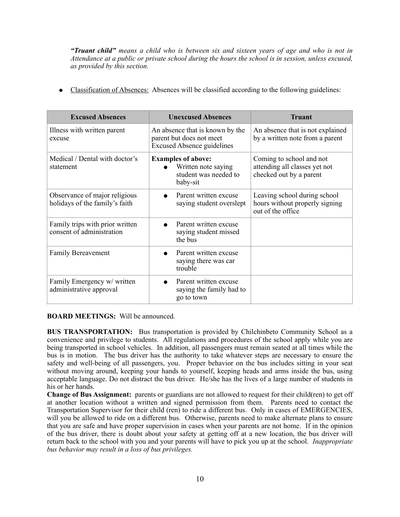*"Truant child" means a child who is between six and sixteen years of age and who is not in Attendance at a public or private school during the hours the school is in session, unless excused, as provided by this section.* 

! Classification of Absences: Absences will be classified according to the following guidelines:

| <b>Excused Absences</b>                                         | <b>Unexcused Absences</b>                                                                        | <b>Truant</b>                                                                        |
|-----------------------------------------------------------------|--------------------------------------------------------------------------------------------------|--------------------------------------------------------------------------------------|
| Illness with written parent<br>excuse                           | An absence that is known by the<br>parent but does not meet<br><b>Excused Absence guidelines</b> | An absence that is not explained<br>by a written note from a parent                  |
| Medical / Dental with doctor's<br>statement                     | <b>Examples of above:</b><br>Written note saying<br>student was needed to<br>baby-sit            | Coming to school and not<br>attending all classes yet not<br>checked out by a parent |
| Observance of major religious<br>holidays of the family's faith | Parent written excuse<br>saying student overslept                                                | Leaving school during school<br>hours without properly signing<br>out of the office  |
| Family trips with prior written<br>consent of administration    | Parent written excuse<br>saying student missed<br>the bus                                        |                                                                                      |
| Family Bereavement                                              | Parent written excuse<br>saying there was car<br>trouble                                         |                                                                                      |
| Family Emergency w/ written<br>administrative approval          | Parent written excuse<br>saying the family had to<br>go to town                                  |                                                                                      |

**BOARD MEETINGS:** Will be announced.

**BUS TRANSPORTATION:** Bus transportation is provided by Chilchinbeto Community School as a convenience and privilege to students. All regulations and procedures of the school apply while you are being transported in school vehicles. In addition, all passengers must remain seated at all times while the bus is in motion. The bus driver has the authority to take whatever steps are necessary to ensure the safety and well-being of all passengers, you. Proper behavior on the bus includes sitting in your seat without moving around, keeping your hands to yourself, keeping heads and arms inside the bus, using acceptable language. Do not distract the bus driver. He/she has the lives of a large number of students in his or her hands.

**Change of Bus Assignment:** parents or guardians are not allowed to request for their child(ren) to get off at another location without a written and signed permission from them. Parents need to contact the Transportation Supervisor for their child (ren) to ride a different bus. Only in cases of EMERGENCIES, will you be allowed to ride on a different bus. Otherwise, parents need to make alternate plans to ensure that you are safe and have proper supervision in cases when your parents are not home. If in the opinion of the bus driver, there is doubt about your safety at getting off at a new location, the bus driver will return back to the school with you and your parents will have to pick you up at the school. *Inappropriate bus behavior may result in a loss of bus privileges.*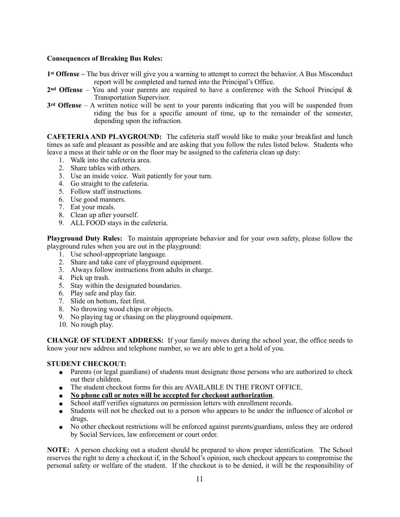#### **Consequences of Breaking Bus Rules:**

- **1st Offense –** The bus driver will give you a warning to attempt to correct the behavior. A Bus Misconduct report will be completed and turned into the Principal's Office.
- **2nd Offense** You and your parents are required to have a conference with the School Principal & Transportation Supervisor.
- **3rd Offense**  A written notice will be sent to your parents indicating that you will be suspended from riding the bus for a specific amount of time, up to the remainder of the semester, depending upon the infraction.

**CAFETERIA AND PLAYGROUND:** The cafeteria staff would like to make your breakfast and lunch times as safe and pleasant as possible and are asking that you follow the rules listed below. Students who leave a mess at their table or on the floor may be assigned to the cafeteria clean up duty:

- 1. Walk into the cafeteria area.
- 2. Share tables with others.
- 3. Use an inside voice. Wait patiently for your turn.
- 4. Go straight to the cafeteria.
- 5. Follow staff instructions.
- 6. Use good manners.
- 7. Eat your meals.
- 8. Clean up after yourself.
- 9. ALL FOOD stays in the cafeteria.

**Playground Duty Rules:** To maintain appropriate behavior and for your own safety, please follow the playground rules when you are out in the playground:

- 1. Use school-appropriate language.
- 2. Share and take care of playground equipment.
- 3. Always follow instructions from adults in charge.
- 4. Pick up trash.
- 5. Stay within the designated boundaries.
- 6. Play safe and play fair.
- 7. Slide on bottom, feet first.
- 8. No throwing wood chips or objects.
- 9. No playing tag or chasing on the playground equipment.
- 10. No rough play.

**CHANGE OF STUDENT ADDRESS:** If your family moves during the school year, the office needs to know your new address and telephone number, so we are able to get a hold of you.

#### **STUDENT CHECKOUT:**

- Parents (or legal guardians) of students must designate those persons who are authorized to check out their children.
- The student checkout forms for this are AVAILABLE IN THE FRONT OFFICE.
- ! **No phone call or notes will be accepted for checkout authorization**.
- School staff verifies signatures on permission letters with enrollment records.
- ! Students will not be checked out to a person who appears to be under the influence of alcohol or drugs.
- ! No other checkout restrictions will be enforced against parents/guardians, unless they are ordered by Social Services, law enforcement or court order.

**NOTE:** A person checking out a student should be prepared to show proper identification. The School reserves the right to deny a checkout if, in the School's opinion, such checkout appears to compromise the personal safety or welfare of the student. If the checkout is to be denied, it will be the responsibility of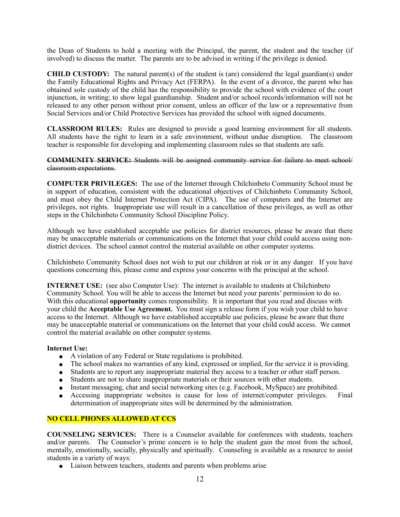the Dean of Students to hold a meeting with the Principal, the parent, the student and the teacher (if involved) to discuss the matter. The parents are to be advised in writing if the privilege is denied.

**CHILD CUSTODY:** The natural parent(s) of the student is (are) considered the legal guardian(s) under the Family Educational Rights and Privacy Act (FERPA). In the event of a divorce, the parent who has obtained sole custody of the child has the responsibility to provide the school with evidence of the court injunction, in writing; to show legal guardianship. Student and/or school records/information will not be released to any other person without prior consent, unless an officer of the law or a representative from Social Services and/or Child Protective Services has provided the school with signed documents.

**CLASSROOM RULES:** Rules are designed to provide a good learning environment for all students. All students have the right to learn in a safe environment, without undue disruption. The classroom teacher is responsible for developing and implementing classroom rules so that students are safe.

#### **COMMUNITY SERVICE:** Students will be assigned community service for failure to meet school/ classroom expectations.

**COMPUTER PRIVILEGES:** The use of the Internet through Chilchinbeto Community School must be in support of education, consistent with the educational objectives of Chilchinbeto Community School, and must obey the Child Internet Protection Act (CIPA). The use of computers and the Internet are privileges, not rights. Inappropriate use will result in a cancellation of these privileges, as well as other steps in the Chilchinbeto Community School Discipline Policy.

Although we have established acceptable use policies for district resources, please be aware that there may be unacceptable materials or communications on the Internet that your child could access using nondistrict devices. The school cannot control the material available on other computer systems.

Chilchinbeto Community School does not wish to put our children at risk or in any danger. If you have questions concerning this, please come and express your concerns with the principal at the school.

**INTERNET USE:** (see also Computer Use): The internet is available to students at Chilchinbeto Community School. You will be able to access the Internet but need your parents' permission to do so. With this educational **opportunity** comes responsibility. It is important that you read and discuss with your child the **Acceptable Use Agreement.** You must sign a release form if you wish your child to have access to the Internet. Although we have established acceptable use policies, please be aware that there may be unacceptable material or communications on the Internet that your child could access. We cannot control the material available on other computer systems.

#### **Internet Use:**

- ! A violation of any Federal or State regulations is prohibited.
- The school makes no warranties of any kind, expressed or implied, for the service it is providing.
- ! Students are to report any inappropriate material they access to a teacher or other staff person.
- ! Students are not to share inappropriate materials or their sources with other students.
- Instant messaging, chat and social networking sites (e.g. Facebook, MySpace) are prohibited.<br>• Accessing inappropriate websites is cause for loss of internet/computer privileges. Final
- Accessing inappropriate websites is cause for loss of internet/computer privileges. determination of inappropriate sites will be determined by the administration.

#### **NO CELL PHONES ALLOWED AT CCS**

**COUNSELING SERVICES:** There is a Counselor available for conferences with students, teachers and/or parents. The Counselor's prime concern is to help the student gain the most from the school, mentally, emotionally, socially, physically and spiritually. Counseling is available as a resource to assist students in a variety of ways:

• Liaison between teachers, students and parents when problems arise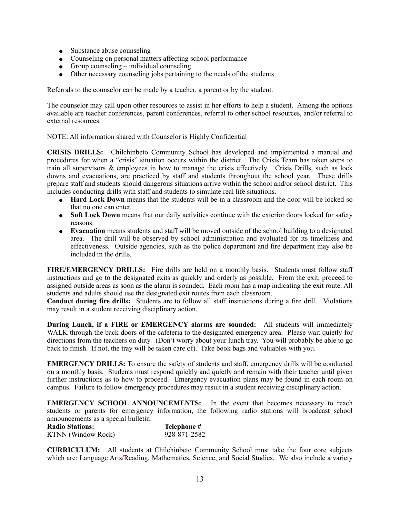- Substance abuse counseling
- Counseling on personal matters affecting school performance
- $\bullet$  Group counseling individual counseling
- Other necessary counseling jobs pertaining to the needs of the students

Referrals to the counselor can be made by a teacher, a parent or by the student.

The counselor may call upon other resources to assist in her efforts to help a student. Among the options available are teacher conferences, parent conferences, referral to other school resources, and/or referral to external resources.

NOTE: All information shared with Counselor is Highly Confidential

**CRISIS DRILLS:** Chilchinbeto Community School has developed and implemented a manual and procedures for when a "crisis" situation occurs within the district. The Crisis Team has taken steps to train all supervisors & employees in how to manage the crisis effectively. Crisis Drills, such as lock downs and evacuations, are practiced by staff and students throughout the school year. These drills prepare staff and students should dangerous situations arrive within the school and/or school district. This includes conducting drills with staff and students to simulate real life situations.

- **Hard Lock Down** means that the students will be in a classroom and the door will be locked so that no one can enter.
- **Soft Lock Down** means that our daily activities continue with the exterior doors locked for safety reasons.
- ! **Evacuation** means students and staff will be moved outside of the school building to a designated area. The drill will be observed by school administration and evaluated for its timeliness and effectiveness. Outside agencies, such as the police department and fire department may also be included in the drills.

**FIRE/EMERGENCY DRILLS:** Fire drills are held on a monthly basis. Students must follow staff instructions and go to the designated exits as quickly and orderly as possible. From the exit, proceed to assigned outside areas as soon as the alarm is sounded. Each room has a map indicating the exit route. All students and adults should use the designated exit routes from each classroom.

**Conduct during fire drills:** Students are to follow all staff instructions during a fire drill. Violations may result in a student receiving disciplinary action.

**During Lunch, if a FIRE or EMERGENCY alarms are sounded:** All students will immediately WALK through the back doors of the cafeteria to the designated emergency area. Please wait quietly for directions from the teachers on duty. (Don't worry about your lunch tray. You will probably be able to go back to finish. If not, the tray will be taken care of). Take book bags and valuables with you.

**EMERGENCY DRILLS:** To ensure the safety of students and staff, emergency drills will be conducted on a monthly basis. Students must respond quickly and quietly and remain with their teacher until given further instructions as to how to proceed. Emergency evacuation plans may be found in each room on campus. Failure to follow emergency procedures may result in a student receiving disciplinary action.

**EMERGENCY SCHOOL ANNOUNCEMENTS:** In the event that becomes necessary to reach students or parents for emergency information, the following radio stations will broadcast school announcements as a special bulletin:

| <b>Radio Stations:</b> | Telephone #  |
|------------------------|--------------|
| KTNN (Window Rock)     | 928-871-2582 |

**CURRICULUM:** All students at Chilchinbeto Community School must take the four core subjects which are: Language Arts**/**Reading, Mathematics, Science, and Social Studies. We also include a variety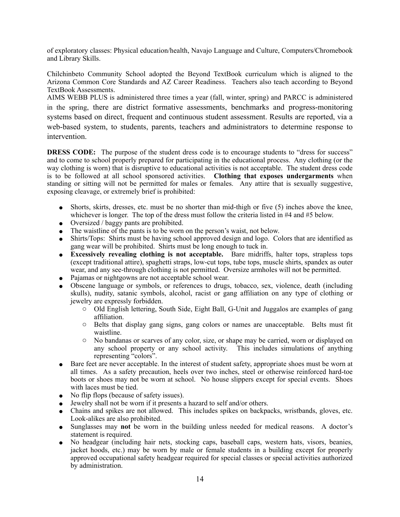of exploratory classes: Physical education/health, Navajo Language and Culture, Computers/Chromebook and Library Skills.

Chilchinbeto Community School adopted the Beyond TextBook curriculum which is aligned to the Arizona Common Core Standards and AZ Career Readiness. Teachers also teach according to Beyond TextBook Assessments.

AIMS WEBB PLUS is administered three times a year (fall, winter, spring) and PARCC is administered in the spring, there are district formative assessments, benchmarks and progress-monitoring systems based on direct, frequent and continuous student assessment. Results are reported, via a web-based system, to students, parents, teachers and administrators to determine response to intervention.

**DRESS CODE:** The purpose of the student dress code is to encourage students to "dress for success" and to come to school properly prepared for participating in the educational process. Any clothing (or the way clothing is worn) that is disruptive to educational activities is not acceptable. The student dress code is to be followed at all school sponsored activities. **Clothing that exposes undergarments** when standing or sitting will not be permitted for males or females. Any attire that is sexually suggestive, exposing cleavage, or extremely brief is prohibited:

- Shorts, skirts, dresses, etc. must be no shorter than mid-thigh or five (5) inches above the knee, whichever is longer. The top of the dress must follow the criteria listed in #4 and #5 below.
- Oversized / baggy pants are prohibited.
- $\bullet$  The waistline of the pants is to be worn on the person's waist, not below.
- ! Shirts/Tops: Shirts must be having school approved design and logo. Colors that are identified as gang wear will be prohibited. Shirts must be long enough to tuck in.
- ! **Excessively revealing clothing is not acceptable.** Bare midriffs, halter tops, strapless tops (except traditional attire), spaghetti straps, low-cut tops, tube tops, muscle shirts, spandex as outer wear, and any see-through clothing is not permitted. Oversize armholes will not be permitted.
- Pajamas or nightgowns are not acceptable school wear.
- ! Obscene language or symbols, or references to drugs, tobacco, sex, violence, death (including skulls), nudity, satanic symbols, alcohol, racist or gang affiliation on any type of clothing or jewelry are expressly forbidden.
	- o Old English lettering, South Side, Eight Ball, G-Unit and Juggalos are examples of gang affiliation.
	- o Belts that display gang signs, gang colors or names are unacceptable. Belts must fit waistline.
	- o No bandanas or scarves of any color, size, or shape may be carried, worn or displayed on any school property or any school activity. This includes simulations of anything representing "colors".
- ! Bare feet are never acceptable. In the interest of student safety, appropriate shoes must be worn at all times. As a safety precaution, heels over two inches, steel or otherwise reinforced hard-toe boots or shoes may not be worn at school. No house slippers except for special events. Shoes with laces must be tied.
- No flip flops (because of safety issues).
- ! Jewelry shall not be worn if it presents a hazard to self and/or others.
- ! Chains and spikes are not allowed. This includes spikes on backpacks, wristbands, gloves, etc. Look-alikes are also prohibited.
- ! Sunglasses may **not** be worn in the building unless needed for medical reasons. A doctor's statement is required.
- ! No headgear (including hair nets, stocking caps, baseball caps, western hats, visors, beanies, jacket hoods, etc.) may be worn by male or female students in a building except for properly approved occupational safety headgear required for special classes or special activities authorized by administration.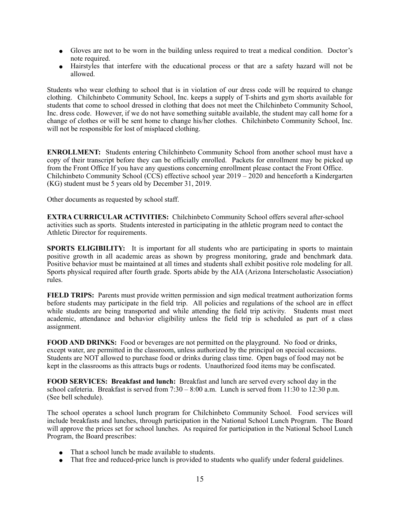- ! Gloves are not to be worn in the building unless required to treat a medical condition. Doctor's note required.
- ! Hairstyles that interfere with the educational process or that are a safety hazard will not be allowed.

Students who wear clothing to school that is in violation of our dress code will be required to change clothing. Chilchinbeto Community School, Inc. keeps a supply of T-shirts and gym shorts available for students that come to school dressed in clothing that does not meet the Chilchinbeto Community School, Inc. dress code. However, if we do not have something suitable available, the student may call home for a change of clothes or will be sent home to change his/her clothes. Chilchinbeto Community School, Inc. will not be responsible for lost of misplaced clothing.

**ENROLLMENT:** Students entering Chilchinbeto Community School from another school must have a copy of their transcript before they can be officially enrolled. Packets for enrollment may be picked up from the Front Office If you have any questions concerning enrollment please contact the Front Office. Chilchinbeto Community School (CCS) effective school year 2019 – 2020 and henceforth a Kindergarten (KG) student must be 5 years old by December 31, 2019.

Other documents as requested by school staff.

**EXTRA CURRICULAR ACTIVITIES:** Chilchinbeto Community School offers several after-school activities such as sports. Students interested in participating in the athletic program need to contact the Athletic Director for requirements.

**SPORTS ELIGIBILITY:** It is important for all students who are participating in sports to maintain positive growth in all academic areas as shown by progress monitoring, grade and benchmark data. Positive behavior must be maintained at all times and students shall exhibit positive role modeling for all. Sports physical required after fourth grade. Sports abide by the AIA (Arizona Interscholastic Association) rules.

**FIELD TRIPS:** Parents must provide written permission and sign medical treatment authorization forms before students may participate in the field trip. All policies and regulations of the school are in effect while students are being transported and while attending the field trip activity. Students must meet academic, attendance and behavior eligibility unless the field trip is scheduled as part of a class assignment.

**FOOD AND DRINKS:** Food or beverages are not permitted on the playground. No food or drinks, except water, are permitted in the classroom, unless authorized by the principal on special occasions. Students are NOT allowed to purchase food or drinks during class time. Open bags of food may not be kept in the classrooms as this attracts bugs or rodents. Unauthorized food items may be confiscated.

**FOOD SERVICES: Breakfast and lunch:** Breakfast and lunch are served every school day in the school cafeteria. Breakfast is served from 7:30 – 8:00 a.m. Lunch is served from 11:30 to 12:30 p.m. (See bell schedule).

The school operates a school lunch program for Chilchinbeto Community School. Food services will include breakfasts and lunches, through participation in the National School Lunch Program. The Board will approve the prices set for school lunches. As required for participation in the National School Lunch Program, the Board prescribes:

- That a school lunch be made available to students.
- That free and reduced-price lunch is provided to students who qualify under federal guidelines.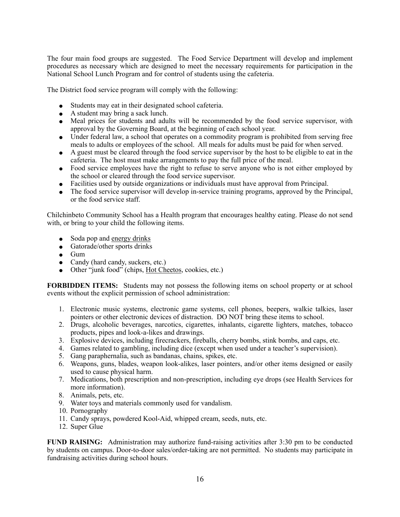The four main food groups are suggested. The Food Service Department will develop and implement procedures as necessary which are designed to meet the necessary requirements for participation in the National School Lunch Program and for control of students using the cafeteria.

The District food service program will comply with the following:

- ! Students may eat in their designated school cafeteria.
- $\bullet$  A student may bring a sack lunch.
- ! Meal prices for students and adults will be recommended by the food service supervisor, with approval by the Governing Board, at the beginning of each school year.
- Under federal law, a school that operates on a commodity program is prohibited from serving free meals to adults or employees of the school. All meals for adults must be paid for when served.
- ! A guest must be cleared through the food service supervisor by the host to be eligible to eat in the cafeteria. The host must make arrangements to pay the full price of the meal.
- Food service employees have the right to refuse to serve anyone who is not either employed by the school or cleared through the food service supervisor.
- Facilities used by outside organizations or individuals must have approval from Principal.
- The food service supervisor will develop in-service training programs, approved by the Principal, or the food service staff.

Chilchinbeto Community School has a Health program that encourages healthy eating. Please do not send with, or bring to your child the following items.

- Soda pop and energy drinks
- Gatorade/other sports drinks
- $\bullet$  Gum
- Candy (hard candy, suckers, etc.)
- Other "junk food" (chips, Hot Cheetos, cookies, etc.)

**FORBIDDEN ITEMS:** Students may not possess the following items on school property or at school events without the explicit permission of school administration:

- 1. Electronic music systems, electronic game systems, cell phones, beepers, walkie talkies, laser pointers or other electronic devices of distraction. DO NOT bring these items to school.
- 2. Drugs, alcoholic beverages, narcotics, cigarettes, inhalants, cigarette lighters, matches, tobacco products, pipes and look-a-likes and drawings.
- 3. Explosive devices, including firecrackers, fireballs, cherry bombs, stink bombs, and caps, etc.
- 4. Games related to gambling, including dice (except when used under a teacher's supervision).
- 5. Gang paraphernalia, such as bandanas, chains, spikes, etc.
- 6. Weapons, guns, blades, weapon look-alikes, laser pointers, and/or other items designed or easily used to cause physical harm.
- 7. Medications, both prescription and non-prescription, including eye drops (see Health Services for more information).
- 8. Animals, pets, etc.
- 9. Water toys and materials commonly used for vandalism.
- 10. Pornography
- 11. Candy sprays, powdered Kool-Aid, whipped cream, seeds, nuts, etc.
- 12. Super Glue

**FUND RAISING:** Administration may authorize fund-raising activities after 3:30 pm to be conducted by students on campus. Door-to-door sales/order-taking are not permitted. No students may participate in fundraising activities during school hours.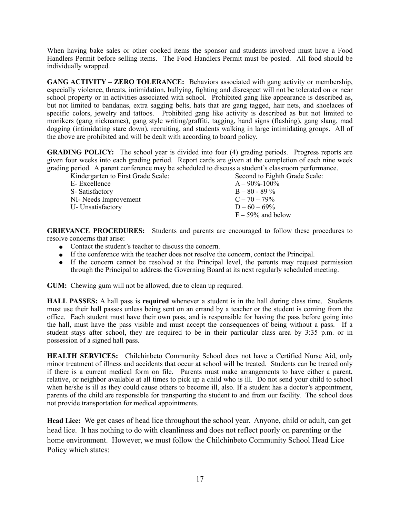When having bake sales or other cooked items the sponsor and students involved must have a Food Handlers Permit before selling items. The Food Handlers Permit must be posted. All food should be individually wrapped.

**GANG ACTIVITY – ZERO TOLERANCE:** Behaviors associated with gang activity or membership, especially violence, threats, intimidation, bullying, fighting and disrespect will not be tolerated on or near school property or in activities associated with school. Prohibited gang like appearance is described as, but not limited to bandanas, extra sagging belts, hats that are gang tagged, hair nets, and shoelaces of specific colors, jewelry and tattoos. Prohibited gang like activity is described as but not limited to monikers (gang nicknames), gang style writing/graffiti, tagging, hand signs (flashing), gang slang, mad dogging (intimidating stare down), recruiting, and students walking in large intimidating groups. All of the above are prohibited and will be dealt with according to board policy.

**GRADING POLICY:** The school year is divided into four (4) grading periods. Progress reports are given four weeks into each grading period. Report cards are given at the completion of each nine week grading period. A parent conference may be scheduled to discuss a student's classroom performance.

| Second to Eighth Grade Scale: |
|-------------------------------|
| $A - 90\% - 100\%$            |
| $B - 80 - 89\%$               |
| $C - 70 - 79\%$               |
| $D - 60 - 69\%$               |
| $F - 59\%$ and below          |
|                               |

**GRIEVANCE PROCEDURES:** Students and parents are encouraged to follow these procedures to resolve concerns that arise:

- Contact the student's teacher to discuss the concern.
- ! If the conference with the teacher does not resolve the concern, contact the Principal.
- ! If the concern cannot be resolved at the Principal level, the parents may request permission through the Principal to address the Governing Board at its next regularly scheduled meeting.

**GUM:** Chewing gum will not be allowed, due to clean up required.

**HALL PASSES:** A hall pass is **required** whenever a student is in the hall during class time. Students must use their hall passes unless being sent on an errand by a teacher or the student is coming from the office. Each student must have their own pass, and is responsible for having the pass before going into the hall, must have the pass visible and must accept the consequences of being without a pass. If a student stays after school, they are required to be in their particular class area by 3:35 p.m. or in possession of a signed hall pass.

**HEALTH SERVICES:** Chilchinbeto Community School does not have a Certified Nurse Aid, only minor treatment of illness and accidents that occur at school will be treated. Students can be treated only if there is a current medical form on file. Parents must make arrangements to have either a parent, relative, or neighbor available at all times to pick up a child who is ill. Do not send your child to school when he/she is ill as they could cause others to become ill, also. If a student has a doctor's appointment, parents of the child are responsible for transporting the student to and from our facility. The school does not provide transportation for medical appointments.

**Head Lice:** We get cases of head lice throughout the school year. Anyone, child or adult, can get head lice. It has nothing to do with cleanliness and does not reflect poorly on parenting or the home environment. However, we must follow the Chilchinbeto Community School Head Lice Policy which states: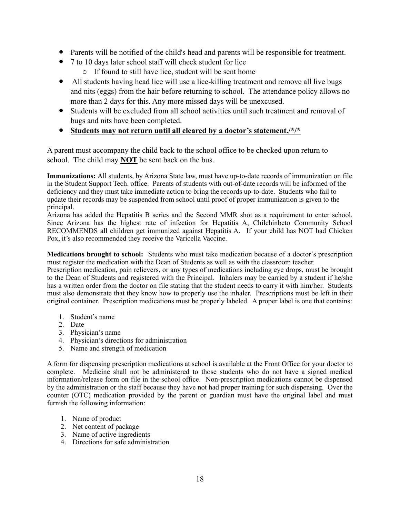- ! Parents will be notified of the child's head and parents will be responsible for treatment.
- 7 to 10 days later school staff will check student for lice
	- o If found to still have lice, student will be sent home
- All students having head lice will use a lice-killing treatment and remove all live bugs and nits (eggs) from the hair before returning to school. The attendance policy allows no more than 2 days for this. Any more missed days will be unexcused.
- ! Students will be excluded from all school activities until such treatment and removal of bugs and nits have been completed.
- ! **Students may not return until all cleared by a doctor's statement./\*/\***

A parent must accompany the child back to the school office to be checked upon return to school. The child may **NOT** be sent back on the bus.

**Immunizations:** All students, by Arizona State law, must have up-to-date records of immunization on file in the Student Support Tech. office. Parents of students with out-of-date records will be informed of the deficiency and they must take immediate action to bring the records up-to-date. Students who fail to update their records may be suspended from school until proof of proper immunization is given to the principal.

Arizona has added the Hepatitis B series and the Second MMR shot as a requirement to enter school. Since Arizona has the highest rate of infection for Hepatitis A, Chilchinbeto Community School RECOMMENDS all children get immunized against Hepatitis A. If your child has NOT had Chicken Pox, it's also recommended they receive the Varicella Vaccine.

**Medications brought to school:** Students who must take medication because of a doctor's prescription must register the medication with the Dean of Students as well as with the classroom teacher.

Prescription medication, pain relievers, or any types of medications including eye drops, must be brought to the Dean of Students and registered with the Principal. Inhalers may be carried by a student if he/she has a written order from the doctor on file stating that the student needs to carry it with him/her. Students must also demonstrate that they know how to properly use the inhaler. Prescriptions must be left in their original container. Prescription medications must be properly labeled. A proper label is one that contains:

- 1. Student's name
- 2. Date
- 3. Physician's name
- 4. Physician's directions for administration
- 5. Name and strength of medication

A form for dispensing prescription medications at school is available at the Front Office for your doctor to complete. Medicine shall not be administered to those students who do not have a signed medical information/release form on file in the school office. Non-prescription medications cannot be dispensed by the administration or the staff because they have not had proper training for such dispensing. Over the counter (OTC) medication provided by the parent or guardian must have the original label and must furnish the following information:

- 1. Name of product
- 2. Net content of package
- 3. Name of active ingredients
- 4. Directions for safe administration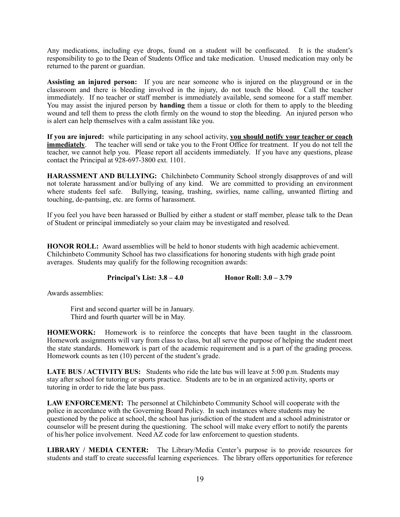Any medications, including eye drops, found on a student will be confiscated. It is the student's responsibility to go to the Dean of Students Office and take medication. Unused medication may only be returned to the parent or guardian.

**Assisting an injured person:** If you are near someone who is injured on the playground or in the classroom and there is bleeding involved in the injury, do not touch the blood. Call the teacher immediately. If no teacher or staff member is immediately available, send someone for a staff member. You may assist the injured person by **handing** them a tissue or cloth for them to apply to the bleeding wound and tell them to press the cloth firmly on the wound to stop the bleeding. An injured person who is alert can help themselves with a calm assistant like you.

**If you are injured:** while participating in any school activity, **you should notify your teacher or coach immediately**. The teacher will send or take you to the Front Office for treatment. If you do not tell the teacher, we cannot help you. Please report all accidents immediately. If you have any questions, please contact the Principal at 928-697-3800 ext. 1101.

**HARASSMENT AND BULLYING:** Chilchinbeto Community School strongly disapproves of and will not tolerate harassment and/or bullying of any kind. We are committed to providing an environment where students feel safe. Bullying, teasing, trashing, swirlies, name calling, unwanted flirting and touching, de-pantsing, etc. are forms of harassment.

If you feel you have been harassed or Bullied by either a student or staff member, please talk to the Dean of Student or principal immediately so your claim may be investigated and resolved.

**HONOR ROLL:** Award assemblies will be held to honor students with high academic achievement. Chilchinbeto Community School has two classifications for honoring students with high grade point averages. Students may qualify for the following recognition awards:

**Principal's List: 3.8 – 4.0 Honor Roll: 3.0 – 3.79** 

Awards assemblies:

 First and second quarter will be in January. Third and fourth quarter will be in May.

**HOMEWORK:** Homework is to reinforce the concepts that have been taught in the classroom. Homework assignments will vary from class to class, but all serve the purpose of helping the student meet the state standards. Homework is part of the academic requirement and is a part of the grading process. Homework counts as ten (10) percent of the student's grade.

**LATE BUS / ACTIVITY BUS:** Students who ride the late bus will leave at 5:00 p.m. Students may stay after school for tutoring or sports practice. Students are to be in an organized activity, sports or tutoring in order to ride the late bus pass.

**LAW ENFORCEMENT:** The personnel at Chilchinbeto Community School will cooperate with the police in accordance with the Governing Board Policy. In such instances where students may be questioned by the police at school, the school has jurisdiction of the student and a school administrator or counselor will be present during the questioning. The school will make every effort to notify the parents of his/her police involvement. Need AZ code for law enforcement to question students.

**LIBRARY / MEDIA CENTER:** The Library/Media Center's purpose is to provide resources for students and staff to create successful learning experiences. The library offers opportunities for reference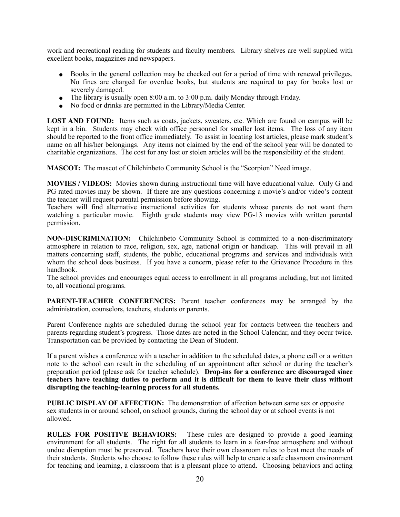work and recreational reading for students and faculty members. Library shelves are well supplied with excellent books, magazines and newspapers.

- Books in the general collection may be checked out for a period of time with renewal privileges. No fines are charged for overdue books, but students are required to pay for books lost or severely damaged.
- The library is usually open 8:00 a.m. to  $3:00$  p.m. daily Monday through Friday.
- No food or drinks are permitted in the Library/Media Center.

**LOST AND FOUND:** Items such as coats, jackets, sweaters, etc. Which are found on campus will be kept in a bin. Students may check with office personnel for smaller lost items. The loss of any item should be reported to the front office immediately. To assist in locating lost articles, please mark student's name on all his/her belongings. Any items not claimed by the end of the school year will be donated to charitable organizations. The cost for any lost or stolen articles will be the responsibility of the student.

**MASCOT:** The mascot of Chilchinbeto Community School is the "Scorpion" Need image.

**MOVIES / VIDEOS:** Movies shown during instructional time will have educational value. Only G and PG rated movies may be shown. If there are any questions concerning a movie's and/or video's content the teacher will request parental permission before showing.

Teachers will find alternative instructional activities for students whose parents do not want them watching a particular movie. Eighth grade students may view PG-13 movies with written parental permission.

**NON-DISCRIMINATION:** Chilchinbeto Community School is committed to a non-discriminatory atmosphere in relation to race, religion, sex, age, national origin or handicap. This will prevail in all matters concerning staff, students, the public, educational programs and services and individuals with whom the school does business. If you have a concern, please refer to the Grievance Procedure in this handbook.

The school provides and encourages equal access to enrollment in all programs including, but not limited to, all vocational programs.

**PARENT-TEACHER CONFERENCES:** Parent teacher conferences may be arranged by the administration, counselors, teachers, students or parents.

Parent Conference nights are scheduled during the school year for contacts between the teachers and parents regarding student's progress. Those dates are noted in the School Calendar, and they occur twice. Transportation can be provided by contacting the Dean of Student.

If a parent wishes a conference with a teacher in addition to the scheduled dates, a phone call or a written note to the school can result in the scheduling of an appointment after school or during the teacher's preparation period (please ask for teacher schedule). **Drop-ins for a conference are discouraged since teachers have teaching duties to perform and it is difficult for them to leave their class without disrupting the teaching-learning process for all students.**

**PUBLIC DISPLAY OF AFFECTION:** The demonstration of affection between same sex or opposite sex students in or around school, on school grounds, during the school day or at school events is not allowed.

**RULES FOR POSITIVE BEHAVIORS:** These rules are designed to provide a good learning environment for all students. The right for all students to learn in a fear-free atmosphere and without undue disruption must be preserved. Teachers have their own classroom rules to best meet the needs of their students. Students who choose to follow these rules will help to create a safe classroom environment for teaching and learning, a classroom that is a pleasant place to attend. Choosing behaviors and acting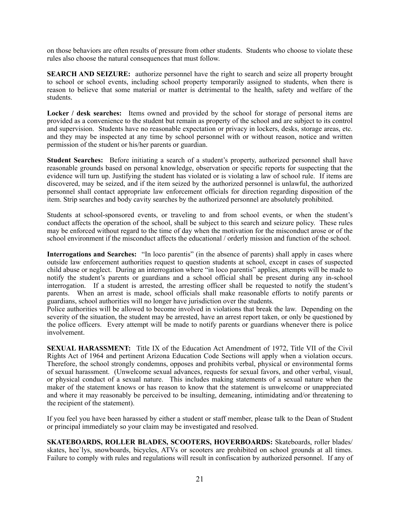on those behaviors are often results of pressure from other students. Students who choose to violate these rules also choose the natural consequences that must follow.

**SEARCH AND SEIZURE:** authorize personnel have the right to search and seize all property brought to school or school events, including school property temporarily assigned to students, when there is reason to believe that some material or matter is detrimental to the health, safety and welfare of the students.

Locker / desk searches: Items owned and provided by the school for storage of personal items are provided as a convenience to the student but remain as property of the school and are subject to its control and supervision. Students have no reasonable expectation or privacy in lockers, desks, storage areas, etc. and they may be inspected at any time by school personnel with or without reason, notice and written permission of the student or his/her parents or guardian.

**Student Searches:** Before initiating a search of a student's property, authorized personnel shall have reasonable grounds based on personal knowledge, observation or specific reports for suspecting that the evidence will turn up. Justifying the student has violated or is violating a law of school rule. If items are discovered, may be seized, and if the item seized by the authorized personnel is unlawful, the authorized personnel shall contact appropriate law enforcement officials for direction regarding disposition of the item. Strip searches and body cavity searches by the authorized personnel are absolutely prohibited.

Students at school-sponsored events, or traveling to and from school events, or when the student's conduct affects the operation of the school, shall be subject to this search and seizure policy. These rules may be enforced without regard to the time of day when the motivation for the misconduct arose or of the school environment if the misconduct affects the educational / orderly mission and function of the school.

**Interrogations and Searches:** "In loco parentis" (in the absence of parents) shall apply in cases where outside law enforcement authorities request to question students at school, except in cases of suspected child abuse or neglect. During an interrogation where "in loco parentis" applies, attempts will be made to notify the student's parents or guardians and a school official shall be present during any in-school interrogation. If a student is arrested, the arresting officer shall be requested to notify the student's parents. When an arrest is made, school officials shall make reasonable efforts to notify parents or guardians, school authorities will no longer have jurisdiction over the students.

Police authorities will be allowed to become involved in violations that break the law. Depending on the severity of the situation, the student may be arrested, have an arrest report taken, or only be questioned by the police officers. Every attempt will be made to notify parents or guardians whenever there is police involvement.

**SEXUAL HARASSMENT:** Title IX of the Education Act Amendment of 1972, Title VII of the Civil Rights Act of 1964 and pertinent Arizona Education Code Sections will apply when a violation occurs. Therefore, the school strongly condemns, opposes and prohibits verbal, physical or environmental forms of sexual harassment. (Unwelcome sexual advances, requests for sexual favors, and other verbal, visual, or physical conduct of a sexual nature. This includes making statements of a sexual nature when the maker of the statement knows or has reason to know that the statement is unwelcome or unappreciated and where it may reasonably be perceived to be insulting, demeaning, intimidating and/or threatening to the recipient of the statement).

If you feel you have been harassed by either a student or staff member, please talk to the Dean of Student or principal immediately so your claim may be investigated and resolved.

**SKATEBOARDS, ROLLER BLADES, SCOOTERS, HOVERBOARDS:** Skateboards, roller blades/ skates, hee`lys, snowboards, bicycles, ATVs or scooters are prohibited on school grounds at all times. Failure to comply with rules and regulations will result in confiscation by authorized personnel. If any of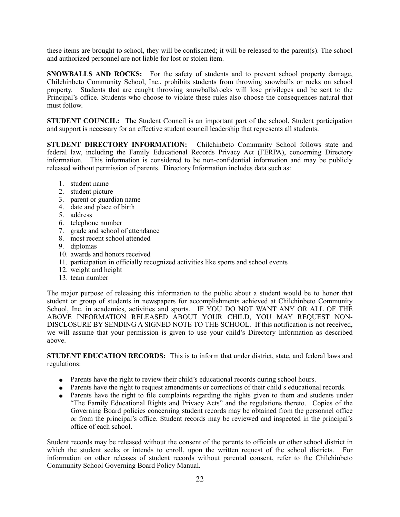these items are brought to school, they will be confiscated; it will be released to the parent(s). The school and authorized personnel are not liable for lost or stolen item.

**SNOWBALLS AND ROCKS:** For the safety of students and to prevent school property damage, Chilchinbeto Community School, Inc., prohibits students from throwing snowballs or rocks on school property. Students that are caught throwing snowballs/rocks will lose privileges and be sent to the Principal's office. Students who choose to violate these rules also choose the consequences natural that must follow.

**STUDENT COUNCIL:** The Student Council is an important part of the school. Student participation and support is necessary for an effective student council leadership that represents all students.

**STUDENT DIRECTORY INFORMATION:** Chilchinbeto Community School follows state and federal law, including the Family Educational Records Privacy Act (FERPA), concerning Directory information. This information is considered to be non-confidential information and may be publicly released without permission of parents. Directory Information includes data such as:

- 1. student name
- 2. student picture
- 3. parent or guardian name
- 4. date and place of birth
- 5. address
- 6. telephone number
- 7. grade and school of attendance
- 8. most recent school attended
- 9. diplomas
- 10. awards and honors received
- 11. participation in officially recognized activities like sports and school events
- 12. weight and height
- 13. team number

The major purpose of releasing this information to the public about a student would be to honor that student or group of students in newspapers for accomplishments achieved at Chilchinbeto Community School, Inc. in academics, activities and sports. IF YOU DO NOT WANT ANY OR ALL OF THE ABOVE INFORMATION RELEASED ABOUT YOUR CHILD, YOU MAY REQUEST NON-DISCLOSURE BY SENDING A SIGNED NOTE TO THE SCHOOL. If this notification is not received, we will assume that your permission is given to use your child's Directory Information as described above.

**STUDENT EDUCATION RECORDS:** This is to inform that under district, state, and federal laws and regulations:

- Parents have the right to review their child's educational records during school hours.
- Parents have the right to request amendments or corrections of their child's educational records.
- Parents have the right to file complaints regarding the rights given to them and students under "The Family Educational Rights and Privacy Acts" and the regulations thereto. Copies of the Governing Board policies concerning student records may be obtained from the personnel office or from the principal's office. Student records may be reviewed and inspected in the principal's office of each school.

Student records may be released without the consent of the parents to officials or other school district in which the student seeks or intends to enroll, upon the written request of the school districts. For information on other releases of student records without parental consent, refer to the Chilchinbeto Community School Governing Board Policy Manual.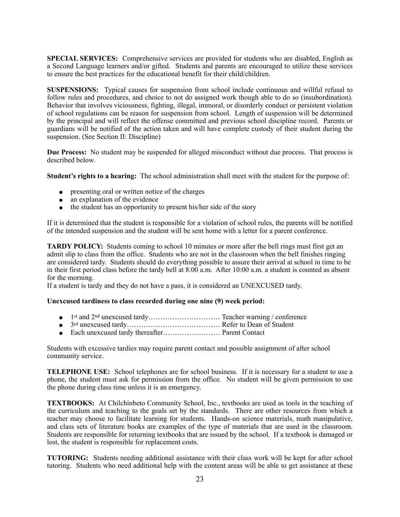**SPECIAL SERVICES:** Comprehensive services are provided for students who are disabled, English as a Second Language learners and/or gifted. Students and parents are encouraged to utilize these services to ensure the best practices for the educational benefit for their child/children.

**SUSPENSIONS:** Typical causes for suspension from school include continuous and willful refusal to follow rules and procedures, and choice to not do assigned work though able to do so (insubordination). Behavior that involves viciousness, fighting, illegal, immoral, or disorderly conduct or persistent violation of school regulations can be reason for suspension from school. Length of suspension will be determined by the principal and will reflect the offense committed and previous school discipline record. Parents or guardians will be notified of the action taken and will have complete custody of their student during the suspension. (See Section II: Discipline)

**Due Process:** No student may be suspended for alleged misconduct without due process. That process is described below.

**Student's rights to a hearing:** The school administration shall meet with the student for the purpose of:

- presenting oral or written notice of the charges
- $\bullet$  an explanation of the evidence
- the student has an opportunity to present his/her side of the story

If it is determined that the student is responsible for a violation of school rules, the parents will be notified of the intended suspension and the student will be sent home with a letter for a parent conference.

**TARDY POLICY:** Students coming to school 10 minutes or more after the bell rings must first get an admit slip to class from the office. Students who are not in the classroom when the bell finishes ringing are considered tardy. Students should do everything possible to assure their arrival at school in time to be in their first period class before the tardy bell at 8:00 a.m. After 10:00 a.m. a student is counted as absent for the morning.

If a student is tardy and they do not have a pass, it is considered an UNEXCUSED tardy.

#### **Unexcused tardiness to class recorded during one nine (9) week period:**

- ! 1st and 2nd unexcused tardy………………………… Teacher warning / conference
- ! 3rd unexcused tardy………………………………… Refer to Dean of Student
- ! Each unexcused tardy thereafter…………………… Parent Contact

Students with excessive tardies may require parent contact and possible assignment of after school community service.

**TELEPHONE USE:** School telephones are for school business. If it is necessary for a student to use a phone, the student must ask for permission from the office. No student will be given permission to use the phone during class time unless it is an emergency.

**TEXTBOOKS:** At Chilchinbeto Community School, Inc., textbooks are used as tools in the teaching of the curriculum and teaching to the goals set by the standards. There are other resources from which a teacher may choose to facilitate learning for students. Hands-on science materials, math manipulative, and class sets of literature books are examples of the type of materials that are used in the classroom. Students are responsible for returning textbooks that are issued by the school. If a textbook is damaged or lost, the student is responsible for replacement costs.

**TUTORING:** Students needing additional assistance with their class work will be kept for after school tutoring. Students who need additional help with the content areas will be able to get assistance at these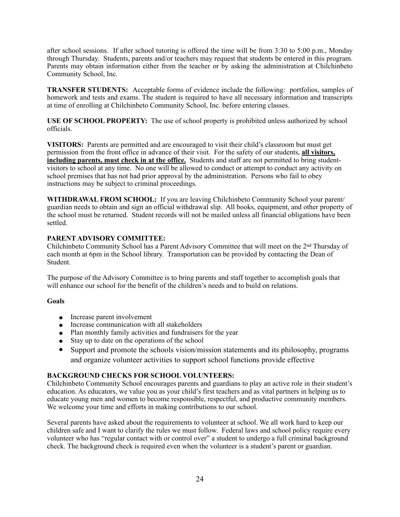after school sessions. If after school tutoring is offered the time will be from 3:30 to 5:00 p.m., Monday through Thursday. Students, parents and/or teachers may request that students be entered in this program. Parents may obtain information either from the teacher or by asking the administration at Chilchinbeto Community School, Inc.

**TRANSFER STUDENTS:** Acceptable forms of evidence include the following: portfolios, samples of homework and tests and exams. The student is required to have all necessary information and transcripts at time of enrolling at Chilchinbeto Community School, Inc. before entering classes.

**USE OF SCHOOL PROPERTY:** The use of school property is prohibited unless authorized by school officials.

**VISITORS:** Parents are permitted and are encouraged to visit their child's classroom but must get permission from the front office in advance of their visit. For the safety of our students, **all visitors, including parents, must check in at the office.** Students and staff are not permitted to bring studentvisitors to school at any time. No one will be allowed to conduct or attempt to conduct any activity on school premises that has not had prior approval by the administration. Persons who fail to obey instructions may be subject to criminal proceedings.

**WITHDRAWAL FROM SCHOOL:** If you are leaving Chilchinbeto Community School your parent/ guardian needs to obtain and sign an official withdrawal slip. All books, equipment, and other property of the school must be returned. Student records will not be mailed unless all financial obligations have been settled.

#### **PARENT ADVISORY COMMITTEE:**

Chilchinbeto Community School has a Parent Advisory Committee that will meet on the 2nd Thursday of each month at 6pm in the School library. Transportation can be provided by contacting the Dean of Student.

The purpose of the Advisory Committee is to bring parents and staff together to accomplish goals that will enhance our school for the benefit of the children's needs and to build on relations.

#### **Goals**

- Increase parent involvement
- Increase communication with all stakeholders
- Plan monthly family activities and fundraisers for the year
- Stay up to date on the operations of the school
- Support and promote the schools vision/mission statements and its philosophy, programs and organize volunteer activities to support school functions provide effective

#### **BACKGROUND CHECKS FOR SCHOOL VOLUNTEERS:**

Chilchinbeto Community School encourages parents and guardians to play an active role in their student's education. As educators, we value you as your child's first teachers and as vital partners in helping us to educate young men and women to become responsible, respectful, and productive community members. We welcome your time and efforts in making contributions to our school.

Several parents have asked about the requirements to volunteer at school. We all work hard to keep our children safe and I want to clarify the rules we must follow. Federal laws and school policy require every volunteer who has "regular contact with or control over" a student to undergo a full criminal background check. The background check is required even when the volunteer is a student's parent or guardian.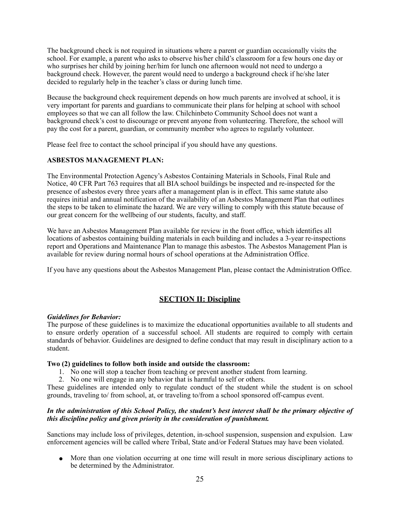The background check is not required in situations where a parent or guardian occasionally visits the school. For example, a parent who asks to observe his/her child's classroom for a few hours one day or who surprises her child by joining her/him for lunch one afternoon would not need to undergo a background check. However, the parent would need to undergo a background check if he/she later decided to regularly help in the teacher's class or during lunch time.

Because the background check requirement depends on how much parents are involved at school, it is very important for parents and guardians to communicate their plans for helping at school with school employees so that we can all follow the law. Chilchinbeto Community School does not want a background check's cost to discourage or prevent anyone from volunteering. Therefore, the school will pay the cost for a parent, guardian, or community member who agrees to regularly volunteer.

Please feel free to contact the school principal if you should have any questions.

#### **ASBESTOS MANAGEMENT PLAN:**

The Environmental Protection Agency's Asbestos Containing Materials in Schools, Final Rule and Notice, 40 CFR Part 763 requires that all BIA school buildings be inspected and re-inspected for the presence of asbestos every three years after a management plan is in effect. This same statute also requires initial and annual notification of the availability of an Asbestos Management Plan that outlines the steps to be taken to eliminate the hazard. We are very willing to comply with this statute because of our great concern for the wellbeing of our students, faculty, and staff.

We have an Asbestos Management Plan available for review in the front office, which identifies all locations of asbestos containing building materials in each building and includes a 3-year re-inspections report and Operations and Maintenance Plan to manage this asbestos. The Asbestos Management Plan is available for review during normal hours of school operations at the Administration Office.

If you have any questions about the Asbestos Management Plan, please contact the Administration Office.

#### **SECTION II: Discipline**

#### *Guidelines for Behavior:*

The purpose of these guidelines is to maximize the educational opportunities available to all students and to ensure orderly operation of a successful school. All students are required to comply with certain standards of behavior. Guidelines are designed to define conduct that may result in disciplinary action to a student.

#### **Two (2) guidelines to follow both inside and outside the classroom:**

- 1. No one will stop a teacher from teaching or prevent another student from learning.
- 2. No one will engage in any behavior that is harmful to self or others.

These guidelines are intended only to regulate conduct of the student while the student is on school grounds, traveling to/ from school, at, or traveling to/from a school sponsored off-campus event.

#### *In the administration of this School Policy, the student's best interest shall be the primary objective of this discipline policy and given priority in the consideration of punishment.*

Sanctions may include loss of privileges, detention, in-school suspension, suspension and expulsion. Law enforcement agencies will be called where Tribal, State and/or Federal Statues may have been violated.

! More than one violation occurring at one time will result in more serious disciplinary actions to be determined by the Administrator.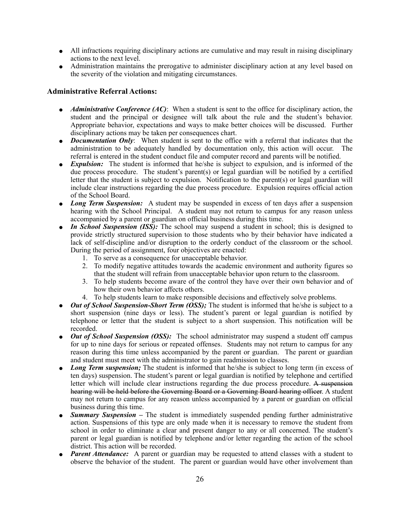- ! All infractions requiring disciplinary actions are cumulative and may result in raising disciplinary actions to the next level.
- Administration maintains the prerogative to administer disciplinary action at any level based on the severity of the violation and mitigating circumstances.

#### **Administrative Referral Actions:**

- ! *Administrative Conference (AC)*: When a student is sent to the office for disciplinary action, the student and the principal or designee will talk about the rule and the student's behavior. Appropriate behavior, expectations and ways to make better choices will be discussed. Further disciplinary actions may be taken per consequences chart.
- *Documentation Only*: When student is sent to the office with a referral that indicates that the administration to be adequately handled by documentation only, this action will occur. The referral is entered in the student conduct file and computer record and parents will be notified.
- *Expulsion:* The student is informed that he/she is subject to expulsion, and is informed of the due process procedure. The student's parent(s) or legal guardian will be notified by a certified letter that the student is subject to expulsion. Notification to the parent(s) or legal guardian will include clear instructions regarding the due process procedure. Expulsion requires official action of the School Board.
- *Long Term Suspension:* A student may be suspended in excess of ten days after a suspension hearing with the School Principal. A student may not return to campus for any reason unless accompanied by a parent or guardian on official business during this time.
- *In School Suspension (ISS)*: The school may suspend a student in school; this is designed to provide strictly structured supervision to those students who by their behavior have indicated a lack of self-discipline and/or disruption to the orderly conduct of the classroom or the school. During the period of assignment, four objectives are enacted:
	- 1. To serve as a consequence for unacceptable behavior.
	- 2. To modify negative attitudes towards the academic environment and authority figures so that the student will refrain from unacceptable behavior upon return to the classroom.
	- 3. To help students become aware of the control they have over their own behavior and of how their own behavior affects others.
	- 4. To help students learn to make responsible decisions and effectively solve problems.
- Out of School Suspension-Short Term (OSS); The student is informed that he/she is subject to a short suspension (nine days or less). The student's parent or legal guardian is notified by telephone or letter that the student is subject to a short suspension. This notification will be recorded.
- Out of School Suspension (OSS): The school administrator may suspend a student off campus for up to nine days for serious or repeated offenses. Students may not return to campus for any reason during this time unless accompanied by the parent or guardian. The parent or guardian and student must meet with the administrator to gain readmission to classes.
- *Long Term suspension;* The student is informed that he/she is subject to long term (in excess of ten days) suspension. The student's parent or legal guardian is notified by telephone and certified letter which will include clear instructions regarding the due process procedure. A suspension hearing will be held before the Governing Board or a Governing Board hearing officer. A student may not return to campus for any reason unless accompanied by a parent or guardian on official business during this time.
- **Summary Suspension** The student is immediately suspended pending further administrative action. Suspensions of this type are only made when it is necessary to remove the student from school in order to eliminate a clear and present danger to any or all concerned. The student's parent or legal guardian is notified by telephone and/or letter regarding the action of the school district. This action will be recorded.
- *Parent Attendance:* A parent or guardian may be requested to attend classes with a student to observe the behavior of the student. The parent or guardian would have other involvement than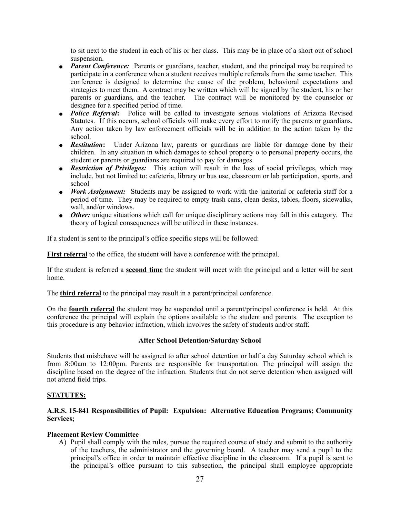to sit next to the student in each of his or her class. This may be in place of a short out of school suspension.

- *Parent Conference:* Parents or guardians, teacher, student, and the principal may be required to participate in a conference when a student receives multiple referrals from the same teacher. This conference is designed to determine the cause of the problem, behavioral expectations and strategies to meet them. A contract may be written which will be signed by the student, his or her parents or guardians, and the teacher. The contract will be monitored by the counselor or designee for a specified period of time.
- ! *Police Referral***:** Police will be called to investigate serious violations of Arizona Revised Statutes. If this occurs, school officials will make every effort to notify the parents or guardians. Any action taken by law enforcement officials will be in addition to the action taken by the school.
- *Restitution***:** Under Arizona law, parents or guardians are liable for damage done by their children. In any situation in which damages to school property o to personal property occurs, the student or parents or guardians are required to pay for damages.
- **Restriction of Privileges:** This action will result in the loss of social privileges, which may include, but not limited to: cafeteria, library or bus use, classroom or lab participation, sports, and school
- *Work Assignment:* Students may be assigned to work with the janitorial or cafeteria staff for a period of time. They may be required to empty trash cans, clean desks, tables, floors, sidewalks, wall, and/or windows.
- *Other:* unique situations which call for unique disciplinary actions may fall in this category. The theory of logical consequences will be utilized in these instances.

If a student is sent to the principal's office specific steps will be followed:

**First referral** to the office, the student will have a conference with the principal.

If the student is referred a **second time** the student will meet with the principal and a letter will be sent home.

The **third referral** to the principal may result in a parent/principal conference.

On the **fourth referral** the student may be suspended until a parent/principal conference is held. At this conference the principal will explain the options available to the student and parents. The exception to this procedure is any behavior infraction, which involves the safety of students and/or staff.

#### **After School Detention/Saturday School**

Students that misbehave will be assigned to after school detention or half a day Saturday school which is from 8:00am to 12:00pm. Parents are responsible for transportation. The principal will assign the discipline based on the degree of the infraction. Students that do not serve detention when assigned will not attend field trips.

#### **STATUTES:**

#### **A.R.S. 15-841 Responsibilities of Pupil: Expulsion: Alternative Education Programs; Community Services;**

#### **Placement Review Committee**

A) Pupil shall comply with the rules, pursue the required course of study and submit to the authority of the teachers, the administrator and the governing board. A teacher may send a pupil to the principal's office in order to maintain effective discipline in the classroom. If a pupil is sent to the principal's office pursuant to this subsection, the principal shall employee appropriate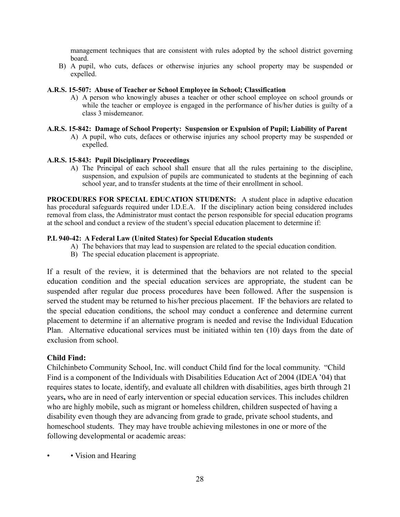management techniques that are consistent with rules adopted by the school district governing board.

B) A pupil, who cuts, defaces or otherwise injuries any school property may be suspended or expelled.

#### **A.R.S. 15-507: Abuse of Teacher or School Employee in School; Classification**

A) A person who knowingly abuses a teacher or other school employee on school grounds or while the teacher or employee is engaged in the performance of his/her duties is guilty of a class 3 misdemeanor.

#### **A.R.S. 15-842: Damage of School Property: Suspension or Expulsion of Pupil; Liability of Parent**

A) A pupil, who cuts, defaces or otherwise injuries any school property may be suspended or expelled.

#### **A.R.S. 15-843: Pupil Disciplinary Proceedings**

A) The Principal of each school shall ensure that all the rules pertaining to the discipline, suspension, and expulsion of pupils are communicated to students at the beginning of each school year, and to transfer students at the time of their enrollment in school.

**PROCEDURES FOR SPECIAL EDUCATION STUDENTS:** A student place in adaptive education has procedural safeguards required under I.D.E.A. If the disciplinary action being considered includes removal from class, the Administrator must contact the person responsible for special education programs at the school and conduct a review of the student's special education placement to determine if:

#### **P.L 940-42: A Federal Law (United States) for Special Education students**

- A) The behaviors that may lead to suspension are related to the special education condition.
- B) The special education placement is appropriate.

If a result of the review, it is determined that the behaviors are not related to the special education condition and the special education services are appropriate, the student can be suspended after regular due process procedures have been followed. After the suspension is served the student may be returned to his/her precious placement. IF the behaviors are related to the special education conditions, the school may conduct a conference and determine current placement to determine if an alternative program is needed and revise the Individual Education Plan. Alternative educational services must be initiated within ten (10) days from the date of exclusion from school.

#### **Child Find:**

Chilchinbeto Community School, Inc. will conduct Child find for the local community. "Child Find is a component of the Individuals with Disabilities Education Act of 2004 (IDEA '04) that requires states to locate, identify, and evaluate all children with disabilities, ages birth through 21 years**,** who are in need of early intervention or special education services. This includes children who are highly mobile, such as migrant or homeless children, children suspected of having a disability even though they are advancing from grade to grade, private school students, and homeschool students. They may have trouble achieving milestones in one or more of the following developmental or academic areas:

• Vision and Hearing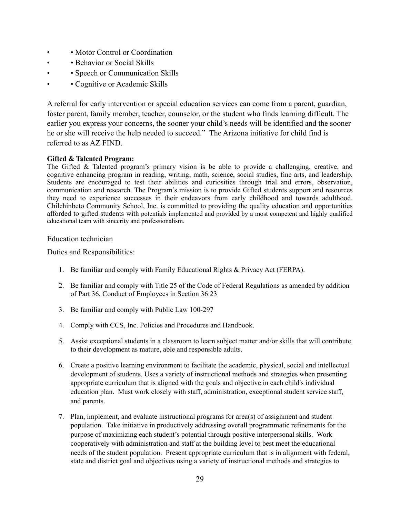- • Motor Control or Coordination
- • Behavior or Social Skills
- • Speech or Communication Skills
- Cognitive or Academic Skills

A referral for early intervention or special education services can come from a parent, guardian, foster parent, family member, teacher, counselor, or the student who finds learning difficult. The earlier you express your concerns, the sooner your child's needs will be identified and the sooner he or she will receive the help needed to succeed." The Arizona initiative for child find is referred to as AZ FIND.

#### **Gifted & Talented Program:**

The Gifted & Talented program's primary vision is be able to provide a challenging, creative, and cognitive enhancing program in reading, writing, math, science, social studies, fine arts, and leadership. Students are encouraged to test their abilities and curiosities through trial and errors, observation, communication and research. The Program's mission is to provide Gifted students support and resources they need to experience successes in their endeavors from early childhood and towards adulthood. Chilchinbeto Community School, Inc. is committed to providing the quality education and opportunities afforded to gifted students with potentials implemented and provided by a most competent and highly qualified educational team with sincerity and professionalism.

#### Education technician

Duties and Responsibilities:

- 1. Be familiar and comply with Family Educational Rights & Privacy Act (FERPA).
- 2. Be familiar and comply with Title 25 of the Code of Federal Regulations as amended by addition of Part 36, Conduct of Employees in Section 36:23
- 3. Be familiar and comply with Public Law 100-297
- 4. Comply with CCS, Inc. Policies and Procedures and Handbook.
- 5. Assist exceptional students in a classroom to learn subject matter and/or skills that will contribute to their development as mature, able and responsible adults.
- 6. Create a positive learning environment to facilitate the academic, physical, social and intellectual development of students. Uses a variety of instructional methods and strategies when presenting appropriate curriculum that is aligned with the goals and objective in each child's individual education plan. Must work closely with staff, administration, exceptional student service staff, and parents.
- 7. Plan, implement, and evaluate instructional programs for area(s) of assignment and student population. Take initiative in productively addressing overall programmatic refinements for the purpose of maximizing each student's potential through positive interpersonal skills. Work cooperatively with administration and staff at the building level to best meet the educational needs of the student population. Present appropriate curriculum that is in alignment with federal, state and district goal and objectives using a variety of instructional methods and strategies to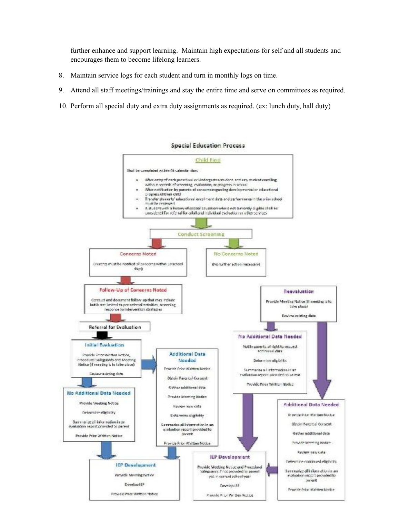further enhance and support learning. Maintain high expectations for self and all students and encourages them to become lifelong learners.

- 8. Maintain service logs for each student and turn in monthly logs on time.
- 9. Attend all staff meetings/trainings and stay the entire time and serve on committees as required.
- 10. Perform all special duty and extra duty assignments as required. (ex: lunch duty, hall duty)

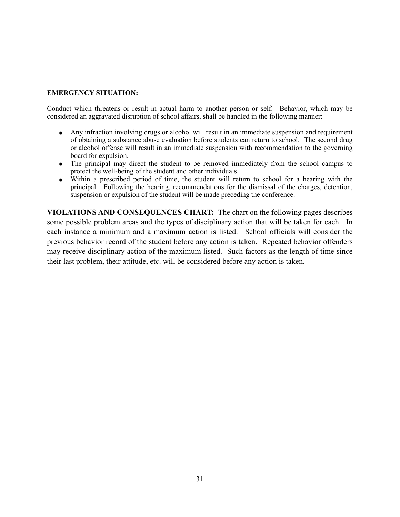#### **EMERGENCY SITUATION:**

Conduct which threatens or result in actual harm to another person or self. Behavior, which may be considered an aggravated disruption of school affairs, shall be handled in the following manner:

- ! Any infraction involving drugs or alcohol will result in an immediate suspension and requirement of obtaining a substance abuse evaluation before students can return to school. The second drug or alcohol offense will result in an immediate suspension with recommendation to the governing board for expulsion.
- The principal may direct the student to be removed immediately from the school campus to protect the well-being of the student and other individuals.
- ! Within a prescribed period of time, the student will return to school for a hearing with the principal. Following the hearing, recommendations for the dismissal of the charges, detention, suspension or expulsion of the student will be made preceding the conference.

**VIOLATIONS AND CONSEQUENCES CHART:** The chart on the following pages describes some possible problem areas and the types of disciplinary action that will be taken for each. In each instance a minimum and a maximum action is listed. School officials will consider the previous behavior record of the student before any action is taken. Repeated behavior offenders may receive disciplinary action of the maximum listed. Such factors as the length of time since their last problem, their attitude, etc. will be considered before any action is taken.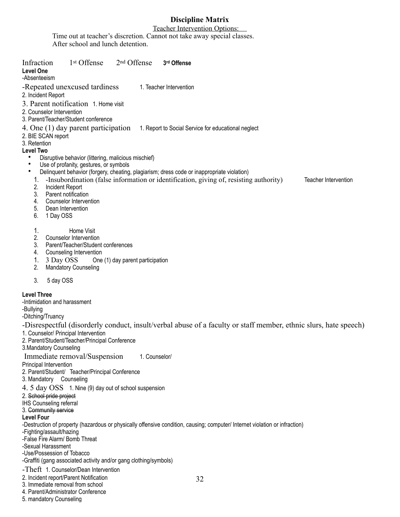#### **Discipline Matrix**

Teacher Intervention Options: Time out at teacher's discretion. Cannot not take away special classes. After school and lunch detention.

| 1 <sup>st</sup> Offense<br>2 <sup>nd</sup> Offense<br>Infraction<br>3rd Offense<br><b>Level One</b><br>-Absenteeism                                                                                                                                                                                                                                                                                                               |  |
|-----------------------------------------------------------------------------------------------------------------------------------------------------------------------------------------------------------------------------------------------------------------------------------------------------------------------------------------------------------------------------------------------------------------------------------|--|
| -Repeated unexcused tardiness<br>1. Teacher Intervention<br>2. Incident Report                                                                                                                                                                                                                                                                                                                                                    |  |
| 3. Parent notification 1. Home visit<br>2. Counselor Intervention<br>3. Parent/Teacher/Student conference                                                                                                                                                                                                                                                                                                                         |  |
| 4. One (1) day parent participation<br>1. Report to Social Service for educational neglect<br>2. BIE SCAN report<br>3. Retention                                                                                                                                                                                                                                                                                                  |  |
| Level Two<br>Disruptive behavior (littering, malicious mischief)                                                                                                                                                                                                                                                                                                                                                                  |  |
| $\bullet$<br>Use of profanity, gestures, or symbols<br>$\bullet$<br>Delinquent behavior (forgery, cheating, plagiarism; dress code or inappropriate violation)<br>-Insubordination (false information or identification, giving of, resisting authority)<br>1.<br>Teacher Intervention<br>2.<br>Incident Report<br>3.<br>Parent notification<br><b>Counselor Intervention</b><br>4.<br>5.<br>Dean Intervention<br>6.<br>1 Day OSS |  |
| 1.<br>Home Visit<br>2.<br>Counselor Intervention<br>3.<br>Parent/Teacher/Student conferences<br>Counseling Intervention<br>4.<br>3 Day OSS<br>1.<br>One (1) day parent participation<br>2.<br><b>Mandatory Counseling</b>                                                                                                                                                                                                         |  |
| 3.<br>5 day OSS                                                                                                                                                                                                                                                                                                                                                                                                                   |  |
| <b>Level Three</b><br>-Intimidation and harassment<br>-Bullying<br>-Ditching/Truancy                                                                                                                                                                                                                                                                                                                                              |  |
| -Disrespectful (disorderly conduct, insult/verbal abuse of a faculty or staff member, ethnic slurs, hate speech)<br>1. Counselor/ Principal Intervention<br>2. Parent/Student/Teacher/Principal Conference<br>3. Mandatory Counseling                                                                                                                                                                                             |  |
| Immediate removal/Suspension<br>1. Counselor/<br>Principal Intervention<br>2. Parent/Student/ Teacher/Principal Conference<br>3. Mandatory Counseling                                                                                                                                                                                                                                                                             |  |
| 4. 5 day OSS 1. Nine (9) day out of school suspension<br>2. School pride project<br><b>IHS Counseling referral</b><br>3. Community service<br><b>Level Four</b>                                                                                                                                                                                                                                                                   |  |
| -Destruction of property (hazardous or physically offensive condition, causing; computer/ Internet violation or infraction)<br>-Fighting/assault/hazing<br>-False Fire Alarm/ Bomb Threat<br>-Sexual Harassment<br>-Use/Possession of Tobacco<br>-Graffiti (gang associated activity and/or gang clothing/symbols)                                                                                                                |  |
| -Theft 1. Counselor/Dean Intervention<br>2. Incident report/Parent Notification<br>32<br>3. Immediate removal from school<br>4. Parent/Administrator Conference                                                                                                                                                                                                                                                                   |  |

5. mandatory Counseling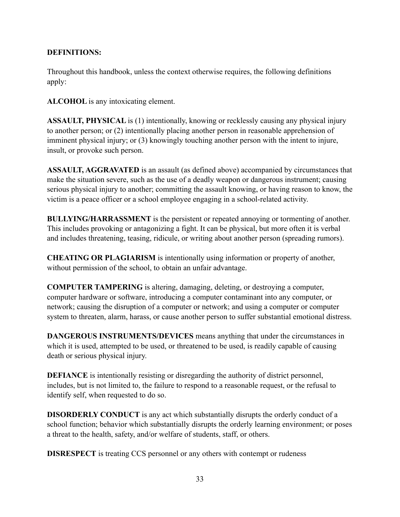#### **DEFINITIONS:**

Throughout this handbook, unless the context otherwise requires, the following definitions apply:

**ALCOHOL** is any intoxicating element.

**ASSAULT, PHYSICAL** is (1) intentionally, knowing or recklessly causing any physical injury to another person; or (2) intentionally placing another person in reasonable apprehension of imminent physical injury; or (3) knowingly touching another person with the intent to injure, insult, or provoke such person.

**ASSAULT, AGGRAVATED** is an assault (as defined above) accompanied by circumstances that make the situation severe, such as the use of a deadly weapon or dangerous instrument; causing serious physical injury to another; committing the assault knowing, or having reason to know, the victim is a peace officer or a school employee engaging in a school-related activity.

**BULLYING/HARRASSMENT** is the persistent or repeated annoying or tormenting of another. This includes provoking or antagonizing a fight. It can be physical, but more often it is verbal and includes threatening, teasing, ridicule, or writing about another person (spreading rumors).

**CHEATING OR PLAGIARISM** is intentionally using information or property of another, without permission of the school, to obtain an unfair advantage.

**COMPUTER TAMPERING** is altering, damaging, deleting, or destroying a computer, computer hardware or software, introducing a computer contaminant into any computer, or network; causing the disruption of a computer or network; and using a computer or computer system to threaten, alarm, harass, or cause another person to suffer substantial emotional distress.

**DANGEROUS INSTRUMENTS/DEVICES** means anything that under the circumstances in which it is used, attempted to be used, or threatened to be used, is readily capable of causing death or serious physical injury.

**DEFIANCE** is intentionally resisting or disregarding the authority of district personnel, includes, but is not limited to, the failure to respond to a reasonable request, or the refusal to identify self, when requested to do so.

**DISORDERLY CONDUCT** is any act which substantially disrupts the orderly conduct of a school function; behavior which substantially disrupts the orderly learning environment; or poses a threat to the health, safety, and/or welfare of students, staff, or others.

**DISRESPECT** is treating CCS personnel or any others with contempt or rudeness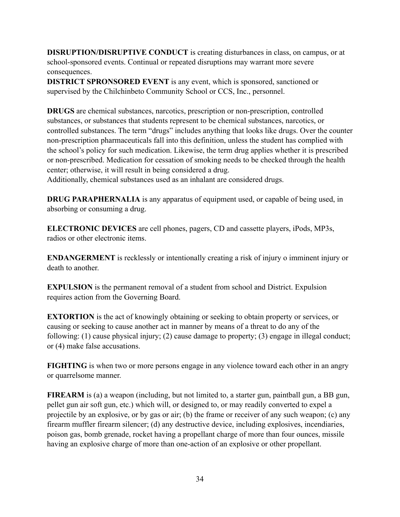**DISRUPTION/DISRUPTIVE CONDUCT** is creating disturbances in class, on campus, or at school-sponsored events. Continual or repeated disruptions may warrant more severe consequences.

**DISTRICT SPRONSORED EVENT** is any event, which is sponsored, sanctioned or supervised by the Chilchinbeto Community School or CCS, Inc., personnel.

**DRUGS** are chemical substances, narcotics, prescription or non-prescription, controlled substances, or substances that students represent to be chemical substances, narcotics, or controlled substances. The term "drugs" includes anything that looks like drugs. Over the counter non-prescription pharmaceuticals fall into this definition, unless the student has complied with the school's policy for such medication. Likewise, the term drug applies whether it is prescribed or non-prescribed. Medication for cessation of smoking needs to be checked through the health center; otherwise, it will result in being considered a drug.

Additionally, chemical substances used as an inhalant are considered drugs.

**DRUG PARAPHERNALIA** is any apparatus of equipment used, or capable of being used, in absorbing or consuming a drug.

**ELECTRONIC DEVICES** are cell phones, pagers, CD and cassette players, iPods, MP3s, radios or other electronic items.

**ENDANGERMENT** is recklessly or intentionally creating a risk of injury o imminent injury or death to another.

**EXPULSION** is the permanent removal of a student from school and District. Expulsion requires action from the Governing Board.

**EXTORTION** is the act of knowingly obtaining or seeking to obtain property or services, or causing or seeking to cause another act in manner by means of a threat to do any of the following: (1) cause physical injury; (2) cause damage to property; (3) engage in illegal conduct; or (4) make false accusations.

**FIGHTING** is when two or more persons engage in any violence toward each other in an angry or quarrelsome manner.

**FIREARM** is (a) a weapon (including, but not limited to, a starter gun, paintball gun, a BB gun, pellet gun air soft gun, etc.) which will, or designed to, or may readily converted to expel a projectile by an explosive, or by gas or air; (b) the frame or receiver of any such weapon; (c) any firearm muffler firearm silencer; (d) any destructive device, including explosives, incendiaries, poison gas, bomb grenade, rocket having a propellant charge of more than four ounces, missile having an explosive charge of more than one-action of an explosive or other propellant.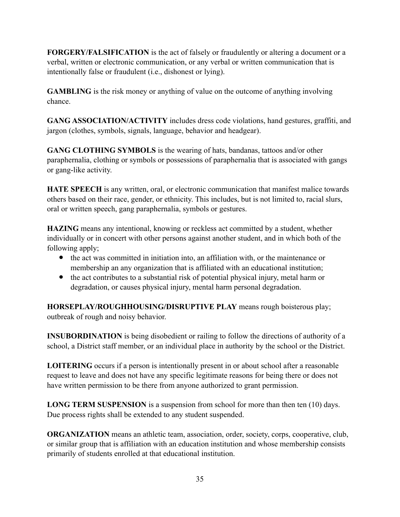**FORGERY/FALSIFICATION** is the act of falsely or fraudulently or altering a document or a verbal, written or electronic communication, or any verbal or written communication that is intentionally false or fraudulent (i.e., dishonest or lying).

**GAMBLING** is the risk money or anything of value on the outcome of anything involving chance.

**GANG ASSOCIATION/ACTIVITY** includes dress code violations, hand gestures, graffiti, and jargon (clothes, symbols, signals, language, behavior and headgear).

**GANG CLOTHING SYMBOLS** is the wearing of hats, bandanas, tattoos and/or other paraphernalia, clothing or symbols or possessions of paraphernalia that is associated with gangs or gang-like activity.

**HATE SPEECH** is any written, oral, or electronic communication that manifest malice towards others based on their race, gender, or ethnicity. This includes, but is not limited to, racial slurs, oral or written speech, gang paraphernalia, symbols or gestures.

**HAZING** means any intentional, knowing or reckless act committed by a student, whether individually or in concert with other persons against another student, and in which both of the following apply;

- the act was committed in initiation into, an affiliation with, or the maintenance or membership an any organization that is affiliated with an educational institution;
- the act contributes to a substantial risk of potential physical injury, metal harm or degradation, or causes physical injury, mental harm personal degradation.

**HORSEPLAY/ROUGHHOUSING/DISRUPTIVE PLAY** means rough boisterous play; outbreak of rough and noisy behavior.

**INSUBORDINATION** is being disobedient or railing to follow the directions of authority of a school, a District staff member, or an individual place in authority by the school or the District.

**LOITERING** occurs if a person is intentionally present in or about school after a reasonable request to leave and does not have any specific legitimate reasons for being there or does not have written permission to be there from anyone authorized to grant permission.

**LONG TERM SUSPENSION** is a suspension from school for more than then ten (10) days. Due process rights shall be extended to any student suspended.

**ORGANIZATION** means an athletic team, association, order, society, corps, cooperative, club, or similar group that is affiliation with an education institution and whose membership consists primarily of students enrolled at that educational institution.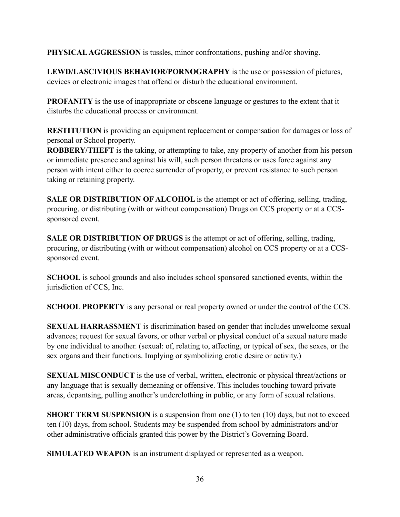**PHYSICAL AGGRESSION** is tussles, minor confrontations, pushing and/or shoving.

**LEWD/LASCIVIOUS BEHAVIOR/PORNOGRAPHY** is the use or possession of pictures, devices or electronic images that offend or disturb the educational environment.

**PROFANITY** is the use of inappropriate or obscene language or gestures to the extent that it disturbs the educational process or environment.

**RESTITUTION** is providing an equipment replacement or compensation for damages or loss of personal or School property.

**ROBBERY/THEFT** is the taking, or attempting to take, any property of another from his person or immediate presence and against his will, such person threatens or uses force against any person with intent either to coerce surrender of property, or prevent resistance to such person taking or retaining property.

**SALE OR DISTRIBUTION OF ALCOHOL** is the attempt or act of offering, selling, trading, procuring, or distributing (with or without compensation) Drugs on CCS property or at a CCSsponsored event.

**SALE OR DISTRIBUTION OF DRUGS** is the attempt or act of offering, selling, trading, procuring, or distributing (with or without compensation) alcohol on CCS property or at a CCSsponsored event.

**SCHOOL** is school grounds and also includes school sponsored sanctioned events, within the jurisdiction of CCS, Inc.

**SCHOOL PROPERTY** is any personal or real property owned or under the control of the CCS.

**SEXUAL HARRASSMENT** is discrimination based on gender that includes unwelcome sexual advances; request for sexual favors, or other verbal or physical conduct of a sexual nature made by one individual to another. (sexual: of, relating to, affecting, or typical of sex, the sexes, or the sex organs and their functions. Implying or symbolizing erotic desire or activity.)

**SEXUAL MISCONDUCT** is the use of verbal, written, electronic or physical threat/actions or any language that is sexually demeaning or offensive. This includes touching toward private areas, depantsing, pulling another's underclothing in public, or any form of sexual relations.

**SHORT TERM SUSPENSION** is a suspension from one (1) to ten (10) days, but not to exceed ten (10) days, from school. Students may be suspended from school by administrators and/or other administrative officials granted this power by the District's Governing Board.

**SIMULATED WEAPON** is an instrument displayed or represented as a weapon.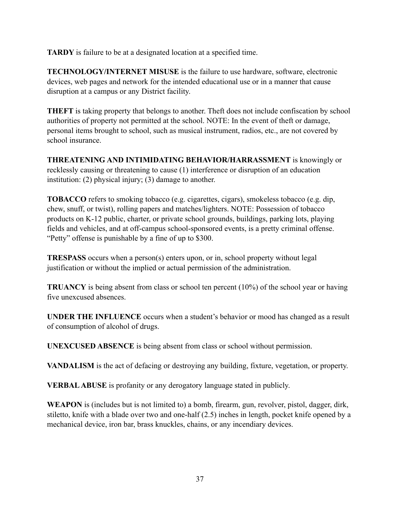**TARDY** is failure to be at a designated location at a specified time.

**TECHNOLOGY/INTERNET MISUSE** is the failure to use hardware, software, electronic devices, web pages and network for the intended educational use or in a manner that cause disruption at a campus or any District facility.

**THEFT** is taking property that belongs to another. Theft does not include confiscation by school authorities of property not permitted at the school. NOTE: In the event of theft or damage, personal items brought to school, such as musical instrument, radios, etc., are not covered by school insurance.

**THREATENING AND INTIMIDATING BEHAVIOR/HARRASSMENT** is knowingly or recklessly causing or threatening to cause (1) interference or disruption of an education institution: (2) physical injury; (3) damage to another.

**TOBACCO** refers to smoking tobacco (e.g. cigarettes, cigars), smokeless tobacco (e.g. dip, chew, snuff, or twist), rolling papers and matches/lighters. NOTE: Possession of tobacco products on K-12 public, charter, or private school grounds, buildings, parking lots, playing fields and vehicles, and at off-campus school-sponsored events, is a pretty criminal offense. "Petty" offense is punishable by a fine of up to \$300.

**TRESPASS** occurs when a person(s) enters upon, or in, school property without legal justification or without the implied or actual permission of the administration.

**TRUANCY** is being absent from class or school ten percent (10%) of the school year or having five unexcused absences.

**UNDER THE INFLUENCE** occurs when a student's behavior or mood has changed as a result of consumption of alcohol of drugs.

**UNEXCUSED ABSENCE** is being absent from class or school without permission.

**VANDALISM** is the act of defacing or destroying any building, fixture, vegetation, or property.

**VERBAL ABUSE** is profanity or any derogatory language stated in publicly.

**WEAPON** is (includes but is not limited to) a bomb, firearm, gun, revolver, pistol, dagger, dirk, stiletto, knife with a blade over two and one-half (2.5) inches in length, pocket knife opened by a mechanical device, iron bar, brass knuckles, chains, or any incendiary devices.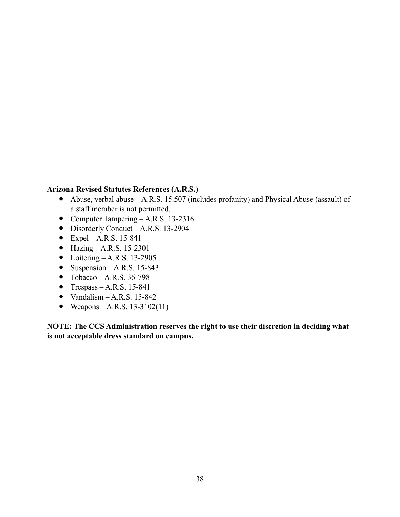#### **Arizona Revised Statutes References (A.R.S.)**

- ! Abuse, verbal abuse A.R.S. 15.507 (includes profanity) and Physical Abuse (assault) of a staff member is not permitted.
- Computer Tampering A.R.S. 13-2316
- Disorderly Conduct A.R.S. 13-2904
- $\bullet$  Expel A.R.S. 15-841
- $\bullet$  Hazing A.R.S. 15-2301
- $\bullet$  Loitering A.R.S. 13-2905
- $\bullet$  Suspension A.R.S. 15-843
- $\bullet$  Tobacco A.R.S. 36-798
- Trespass A.R.S. 15-841
- $\bullet$  Vandalism A.R.S. 15-842
- Weapons A.R.S. 13-3102(11)

**NOTE: The CCS Administration reserves the right to use their discretion in deciding what is not acceptable dress standard on campus.**